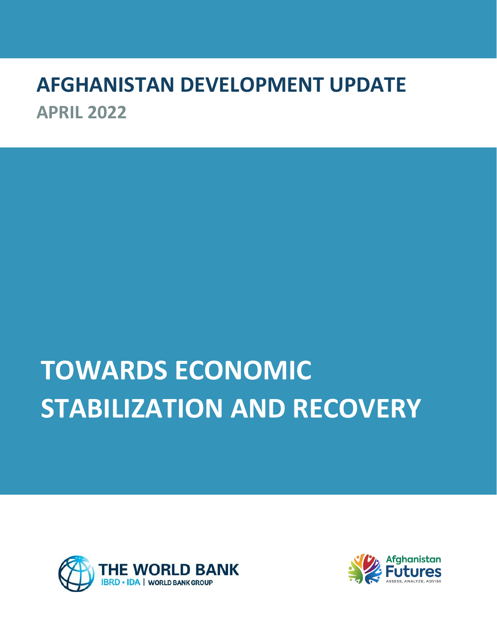# **AFGHANISTAN DEVELOPMENT UPDATE APRIL 2022**

# **TOWARDS ECONOMIC STABILIZATION AND RECOVERY**



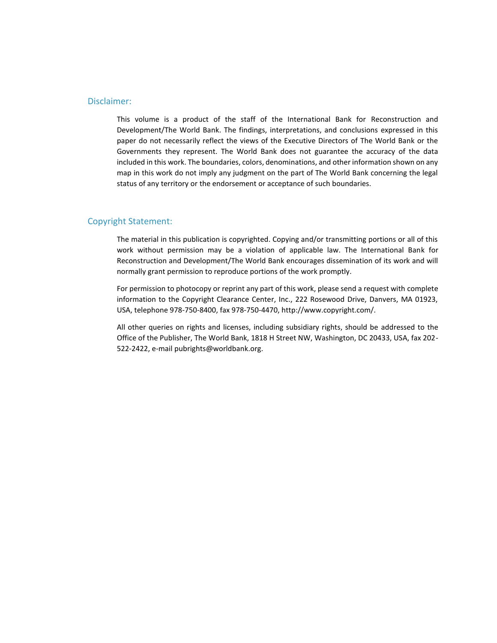#### Disclaimer:

This volume is a product of the staff of the International Bank for Reconstruction and Development/The World Bank. The findings, interpretations, and conclusions expressed in this paper do not necessarily reflect the views of the Executive Directors of The World Bank or the Governments they represent. The World Bank does not guarantee the accuracy of the data included in this work. The boundaries, colors, denominations, and other information shown on any map in this work do not imply any judgment on the part of The World Bank concerning the legal status of any territory or the endorsement or acceptance of such boundaries.

#### Copyright Statement:

The material in this publication is copyrighted. Copying and/or transmitting portions or all of this work without permission may be a violation of applicable law. The International Bank for Reconstruction and Development/The World Bank encourages dissemination of its work and will normally grant permission to reproduce portions of the work promptly.

For permission to photocopy or reprint any part of this work, please send a request with complete information to the Copyright Clearance Center, Inc., 222 Rosewood Drive, Danvers, MA 01923, USA, telephone 978-750-8400, fax 978-750-4470, http://www.copyright.com/.

All other queries on rights and licenses, including subsidiary rights, should be addressed to the Office of the Publisher, The World Bank, 1818 H Street NW, Washington, DC 20433, USA, fax 202- 522-2422, e-mail pubrights@worldbank.org.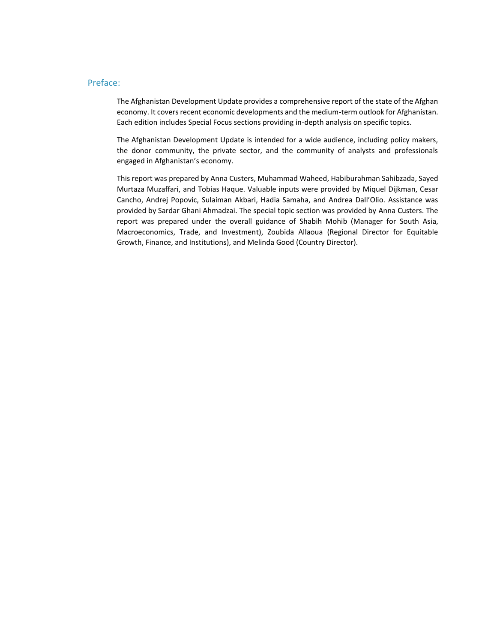#### Preface:

The Afghanistan Development Update provides a comprehensive report of the state of the Afghan economy. It covers recent economic developments and the medium-term outlook for Afghanistan. Each edition includes Special Focus sections providing in-depth analysis on specific topics.

The Afghanistan Development Update is intended for a wide audience, including policy makers, the donor community, the private sector, and the community of analysts and professionals engaged in Afghanistan's economy.

This report was prepared by Anna Custers, Muhammad Waheed, Habiburahman Sahibzada, Sayed Murtaza Muzaffari, and Tobias Haque. Valuable inputs were provided by Miquel Dijkman, Cesar Cancho, Andrej Popovic, Sulaiman Akbari, Hadia Samaha, and Andrea Dall'Olio. Assistance was provided by Sardar Ghani Ahmadzai. The special topic section was provided by Anna Custers. The report was prepared under the overall guidance of Shabih Mohib (Manager for South Asia, Macroeconomics, Trade, and Investment), Zoubida Allaoua (Regional Director for Equitable Growth, Finance, and Institutions), and Melinda Good (Country Director).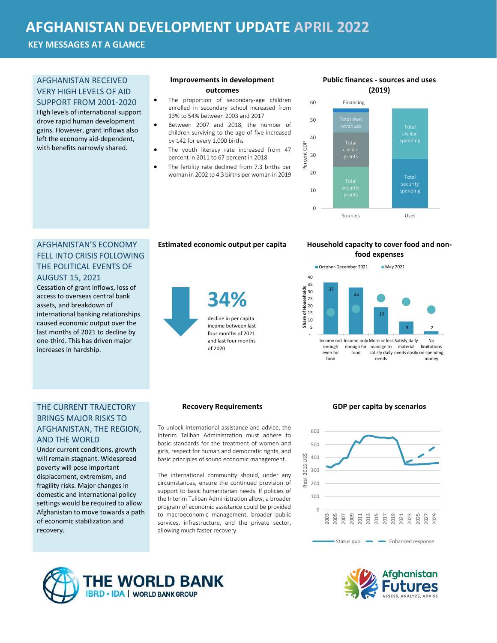## **AFGHANISTAN DEVELOPMENT UPDATE APRIL 2022**

**KEY MESSAGES AT A GLANCE**

#### AFGHANISTAN RECEIVED VERY HIGH LEVELS OF AID

SUPPORT FROM 2001-2020 High levels of international support drove rapid human development gains. However, grant inflows also left the economy aid-dependent, with benefits narrowly shared.

#### **Improvements in development outcomes**

- The proportion of secondary-age children enrolled in secondary school increased from 13% to 54% between 2003 and 2017
- Between 2007 and 2018, the number of children surviving to the age of five increased by 142 for every 1,000 births
	- The youth literacy rate increased from 47 percent in 2011 to 67 percent in 2018
- The fertility rate declined from 7.3 births per woman in 2002 to 4.3 births per woman in 2019

#### **Public finances - sources and uses (2019)**



Percent GDP

#### AFGHANISTAN'S ECONOMY FELL INTO CRISIS FOLLOWING THE POLITICAL EVENTS OF AUGUST 15, 2021

Cessation of grant inflows, loss of access to overseas central bank assets, and breakdown of international banking relationships caused economic output over the last months of 2021 to decline by one-third. This has driven major increases in hardship.

**34%**

decline in per capita income between last four months of 2021 and last four months

#### **Estimated economic output per capita Household capacity to cover food and nonfood expenses**



#### THE CURRENT TRAJECTORY BRINGS MAJOR RISKS TO AFGHANISTAN, THE REGION, AND THE WORLD

Under current conditions, growth will remain stagnant. Widespread poverty will pose important displacement, extremism, and fragility risks. Major changes in domestic and international policy settings would be required to allow Afghanistan to move towards a path of economic stabilization and recovery.

of 2020

To unlock international assistance and advice, the Interim Taliban Administration must adhere to basic standards for the treatment of women and girls, respect for human and democratic rights, and basic principles of sound economic management.

The international community should, under any circumstances, ensure the continued provision of support to basic humanitarian needs. If policies of the Interim Taliban Administration allow, a broader program of economic assistance could be provided to macroeconomic management, broader public services, infrastructure, and the private sector, allowing much faster recovery.

#### **Recovery Requirements GDP per capita by scenarios**



Status quo **Enhanced response** 



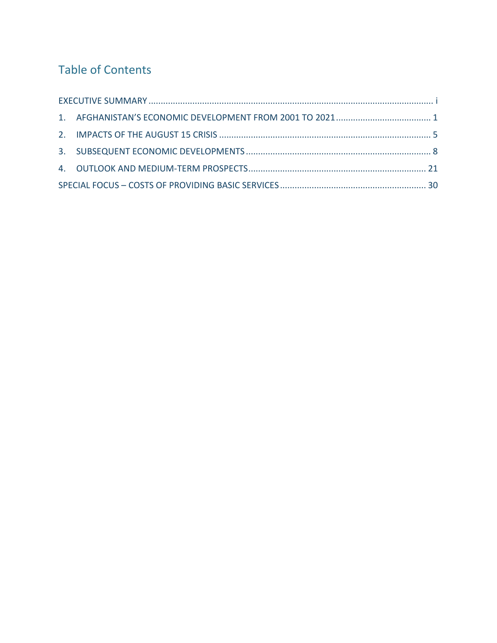## Table of Contents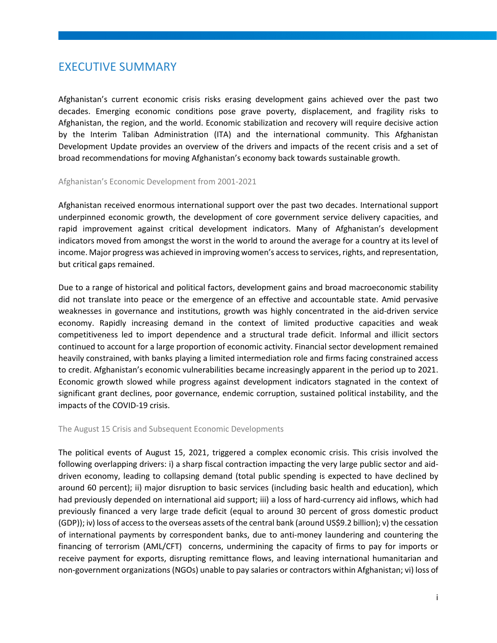## <span id="page-5-0"></span>EXECUTIVE SUMMARY

Afghanistan's current economic crisis risks erasing development gains achieved over the past two decades. Emerging economic conditions pose grave poverty, displacement, and fragility risks to Afghanistan, the region, and the world. Economic stabilization and recovery will require decisive action by the Interim Taliban Administration (ITA) and the international community. This Afghanistan Development Update provides an overview of the drivers and impacts of the recent crisis and a set of broad recommendations for moving Afghanistan's economy back towards sustainable growth.

#### Afghanistan's Economic Development from 2001-2021

Afghanistan received enormous international support over the past two decades. International support underpinned economic growth, the development of core government service delivery capacities, and rapid improvement against critical development indicators. Many of Afghanistan's development indicators moved from amongst the worst in the world to around the average for a country at its level of income. Major progress was achieved in improving women's access to services, rights, and representation, but critical gaps remained.

Due to a range of historical and political factors, development gains and broad macroeconomic stability did not translate into peace or the emergence of an effective and accountable state. Amid pervasive weaknesses in governance and institutions, growth was highly concentrated in the aid-driven service economy. Rapidly increasing demand in the context of limited productive capacities and weak competitiveness led to import dependence and a structural trade deficit. Informal and illicit sectors continued to account for a large proportion of economic activity. Financial sector development remained heavily constrained, with banks playing a limited intermediation role and firms facing constrained access to credit. Afghanistan's economic vulnerabilities became increasingly apparent in the period up to 2021. Economic growth slowed while progress against development indicators stagnated in the context of significant grant declines, poor governance, endemic corruption, sustained political instability, and the impacts of the COVID-19 crisis.

#### The August 15 Crisis and Subsequent Economic Developments

The political events of August 15, 2021, triggered a complex economic crisis. This crisis involved the following overlapping drivers: i) a sharp fiscal contraction impacting the very large public sector and aiddriven economy, leading to collapsing demand (total public spending is expected to have declined by around 60 percent); ii) major disruption to basic services (including basic health and education), which had previously depended on international aid support; iii) a loss of hard-currency aid inflows, which had previously financed a very large trade deficit (equal to around 30 percent of gross domestic product (GDP)); iv) loss of access to the overseas assets of the central bank (around US\$9.2 billion); v) the cessation of international payments by correspondent banks, due to anti-money laundering and countering the financing of terrorism (AML/CFT) concerns, undermining the capacity of firms to pay for imports or receive payment for exports, disrupting remittance flows, and leaving international humanitarian and non-government organizations (NGOs) unable to pay salaries or contractors within Afghanistan; vi) loss of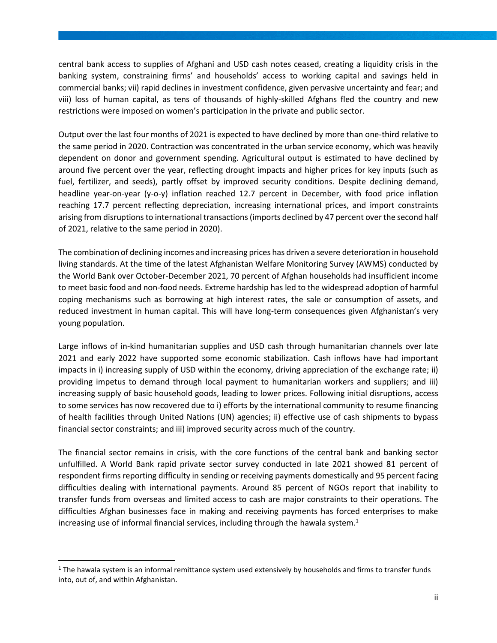central bank access to supplies of Afghani and USD cash notes ceased, creating a liquidity crisis in the banking system, constraining firms' and households' access to working capital and savings held in commercial banks; vii) rapid declines in investment confidence, given pervasive uncertainty and fear; and viii) loss of human capital, as tens of thousands of highly-skilled Afghans fled the country and new restrictions were imposed on women's participation in the private and public sector.

Output over the last four months of 2021 is expected to have declined by more than one-third relative to the same period in 2020. Contraction was concentrated in the urban service economy, which was heavily dependent on donor and government spending. Agricultural output is estimated to have declined by around five percent over the year, reflecting drought impacts and higher prices for key inputs (such as fuel, fertilizer, and seeds), partly offset by improved security conditions. Despite declining demand, headline year-on-year (y-o-y) inflation reached 12.7 percent in December, with food price inflation reaching 17.7 percent reflecting depreciation, increasing international prices, and import constraints arising from disruptions to international transactions (imports declined by 47 percent over the second half of 2021, relative to the same period in 2020).

The combination of declining incomes and increasing prices has driven a severe deterioration in household living standards. At the time of the latest Afghanistan Welfare Monitoring Survey (AWMS) conducted by the World Bank over October-December 2021, 70 percent of Afghan households had insufficient income to meet basic food and non-food needs. Extreme hardship has led to the widespread adoption of harmful coping mechanisms such as borrowing at high interest rates, the sale or consumption of assets, and reduced investment in human capital. This will have long-term consequences given Afghanistan's very young population.

Large inflows of in-kind humanitarian supplies and USD cash through humanitarian channels over late 2021 and early 2022 have supported some economic stabilization. Cash inflows have had important impacts in i) increasing supply of USD within the economy, driving appreciation of the exchange rate; ii) providing impetus to demand through local payment to humanitarian workers and suppliers; and iii) increasing supply of basic household goods, leading to lower prices. Following initial disruptions, access to some services has now recovered due to i) efforts by the international community to resume financing of health facilities through United Nations (UN) agencies; ii) effective use of cash shipments to bypass financial sector constraints; and iii) improved security across much of the country.

The financial sector remains in crisis, with the core functions of the central bank and banking sector unfulfilled. A World Bank rapid private sector survey conducted in late 2021 showed 81 percent of respondent firms reporting difficulty in sending or receiving payments domestically and 95 percent facing difficulties dealing with international payments. Around 85 percent of NGOs report that inability to transfer funds from overseas and limited access to cash are major constraints to their operations. The difficulties Afghan businesses face in making and receiving payments has forced enterprises to make increasing use of informal financial services, including through the hawala system. $<sup>1</sup>$ </sup>

 $1$  The hawala system is an informal remittance system used extensively by households and firms to transfer funds into, out of, and within Afghanistan.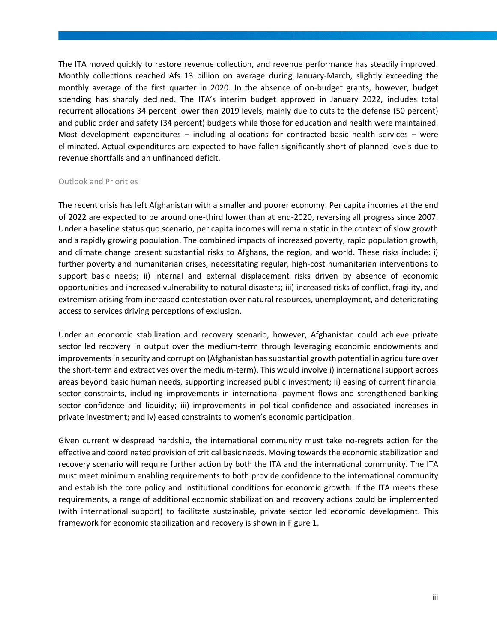The ITA moved quickly to restore revenue collection, and revenue performance has steadily improved. Monthly collections reached Afs 13 billion on average during January-March, slightly exceeding the monthly average of the first quarter in 2020. In the absence of on-budget grants, however, budget spending has sharply declined. The ITA's interim budget approved in January 2022, includes total recurrent allocations 34 percent lower than 2019 levels, mainly due to cuts to the defense (50 percent) and public order and safety (34 percent) budgets while those for education and health were maintained. Most development expenditures – including allocations for contracted basic health services – were eliminated. Actual expenditures are expected to have fallen significantly short of planned levels due to revenue shortfalls and an unfinanced deficit.

#### Outlook and Priorities

The recent crisis has left Afghanistan with a smaller and poorer economy. Per capita incomes at the end of 2022 are expected to be around one-third lower than at end-2020, reversing all progress since 2007. Under a baseline status quo scenario, per capita incomes will remain static in the context of slow growth and a rapidly growing population. The combined impacts of increased poverty, rapid population growth, and climate change present substantial risks to Afghans, the region, and world. These risks include: i) further poverty and humanitarian crises, necessitating regular, high-cost humanitarian interventions to support basic needs; ii) internal and external displacement risks driven by absence of economic opportunities and increased vulnerability to natural disasters; iii) increased risks of conflict, fragility, and extremism arising from increased contestation over natural resources, unemployment, and deteriorating access to services driving perceptions of exclusion.

Under an economic stabilization and recovery scenario, however, Afghanistan could achieve private sector led recovery in output over the medium-term through leveraging economic endowments and improvements in security and corruption (Afghanistan has substantial growth potential in agriculture over the short-term and extractives over the medium-term). This would involve i) international support across areas beyond basic human needs, supporting increased public investment; ii) easing of current financial sector constraints, including improvements in international payment flows and strengthened banking sector confidence and liquidity; iii) improvements in political confidence and associated increases in private investment; and iv) eased constraints to women's economic participation.

Given current widespread hardship, the international community must take no-regrets action for the effective and coordinated provision of critical basic needs. Moving towards the economic stabilization and recovery scenario will require further action by both the ITA and the international community. The ITA must meet minimum enabling requirements to both provide confidence to the international community and establish the core policy and institutional conditions for economic growth. If the ITA meets these requirements, a range of additional economic stabilization and recovery actions could be implemented (with international support) to facilitate sustainable, private sector led economic development. This framework for economic stabilization and recovery is shown i[n Figure 1.](#page-8-0)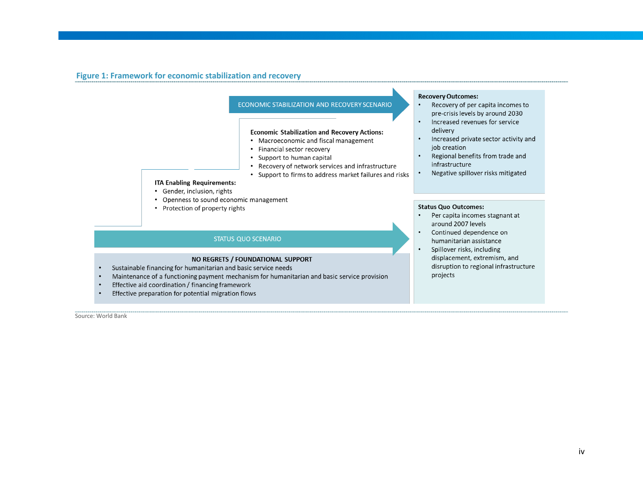#### **Figure 1: Framework for economic stabilization and recovery**



- <span id="page-8-0"></span>Sustainable financing for humanitarian and basic service needs  $\bullet$
- Maintenance of a functioning payment mechanism for humanitarian and basic service provision  $\bullet$
- Effective aid coordination / financing framework  $\bullet$
- Effective preparation for potential migration flows  $\bullet$

Source: World Bank

disruption to regional infrastructure projects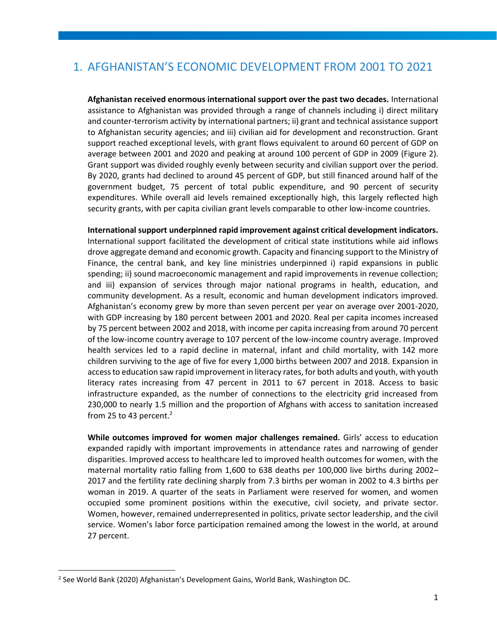## <span id="page-9-0"></span>1. AFGHANISTAN'S ECONOMIC DEVELOPMENT FROM 2001 TO 2021

**Afghanistan received enormous international support over the past two decades.** International assistance to Afghanistan was provided through a range of channels including i) direct military and counter-terrorism activity by international partners; ii) grant and technical assistance support to Afghanistan security agencies; and iii) civilian aid for development and reconstruction. Grant support reached exceptional levels, with grant flows equivalent to around 60 percent of GDP on average between 2001 and 2020 and peaking at around 100 percent of GDP in 2009 [\(Figure 2\)](#page-10-0). Grant support was divided roughly evenly between security and civilian support over the period. By 2020, grants had declined to around 45 percent of GDP, but still financed around half of the government budget, 75 percent of total public expenditure, and 90 percent of security expenditures. While overall aid levels remained exceptionally high, this largely reflected high security grants, with per capita civilian grant levels comparable to other low-income countries.

**International support underpinned rapid improvement against critical development indicators.**  International support facilitated the development of critical state institutions while aid inflows drove aggregate demand and economic growth. Capacity and financing support to the Ministry of Finance, the central bank, and key line ministries underpinned i) rapid expansions in public spending; ii) sound macroeconomic management and rapid improvements in revenue collection; and iii) expansion of services through major national programs in health, education, and community development. As a result, economic and human development indicators improved. Afghanistan's economy grew by more than seven percent per year on average over 2001-2020, with GDP increasing by 180 percent between 2001 and 2020. Real per capita incomes increased by 75 percent between 2002 and 2018, with income per capita increasing from around 70 percent of the low-income country average to 107 percent of the low-income country average. Improved health services led to a rapid decline in maternal, infant and child mortality, with 142 more children surviving to the age of five for every 1,000 births between 2007 and 2018. Expansion in access to education saw rapid improvement in literacy rates, for both adults and youth, with youth literacy rates increasing from 47 percent in 2011 to 67 percent in 2018. Access to basic infrastructure expanded, as the number of connections to the electricity grid increased from 230,000 to nearly 1.5 million and the proportion of Afghans with access to sanitation increased from 25 to 43 percent. $2$ 

**While outcomes improved for women major challenges remained.** Girls' access to education expanded rapidly with important improvements in attendance rates and narrowing of gender disparities. Improved access to healthcare led to improved health outcomes for women, with the maternal mortality ratio falling from 1,600 to 638 deaths per 100,000 live births during 2002– 2017 and the fertility rate declining sharply from 7.3 births per woman in 2002 to 4.3 births per woman in 2019. A quarter of the seats in Parliament were reserved for women, and women occupied some prominent positions within the executive, civil society, and private sector. Women, however, remained underrepresented in politics, private sector leadership, and the civil service. Women's labor force participation remained among the lowest in the world, at around 27 percent.

<sup>2</sup> See World Bank (2020) Afghanistan's Development Gains, World Bank, Washington DC.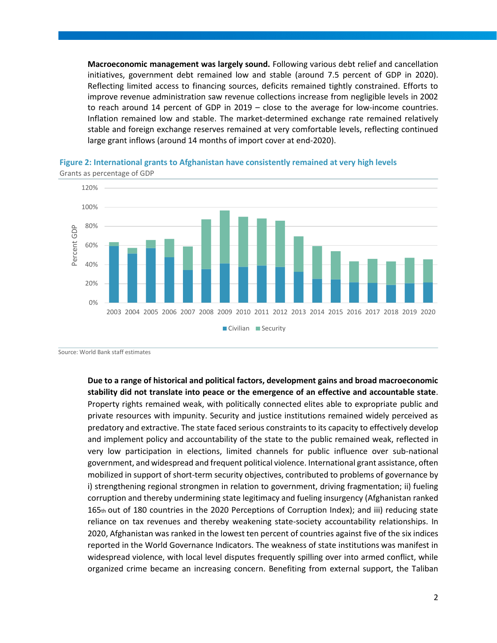**Macroeconomic management was largely sound.** Following various debt relief and cancellation initiatives, government debt remained low and stable (around 7.5 percent of GDP in 2020). Reflecting limited access to financing sources, deficits remained tightly constrained. Efforts to improve revenue administration saw revenue collections increase from negligible levels in 2002 to reach around 14 percent of GDP in 2019 – close to the average for low-income countries. Inflation remained low and stable. The market-determined exchange rate remained relatively stable and foreign exchange reserves remained at very comfortable levels, reflecting continued large grant inflows (around 14 months of import cover at end-2020).



<span id="page-10-0"></span>**Figure 2: International grants to Afghanistan have consistently remained at very high levels** Grants as percentage of GDP

Source: World Bank staff estimates

**Due to a range of historical and political factors, development gains and broad macroeconomic stability did not translate into peace or the emergence of an effective and accountable state**. Property rights remained weak, with politically connected elites able to expropriate public and private resources with impunity. Security and justice institutions remained widely perceived as predatory and extractive. The state faced serious constraints to its capacity to effectively develop and implement policy and accountability of the state to the public remained weak, reflected in very low participation in elections, limited channels for public influence over sub-national government, and widespread and frequent political violence. International grant assistance, often mobilized in support of short-term security objectives, contributed to problems of governance by i) strengthening regional strongmen in relation to government, driving fragmentation; ii) fueling corruption and thereby undermining state legitimacy and fueling insurgency (Afghanistan ranked 165th out of 180 countries in the 2020 Perceptions of Corruption Index); and iii) reducing state reliance on tax revenues and thereby weakening state-society accountability relationships. In 2020, Afghanistan was ranked in the lowest ten percent of countries against five of the six indices reported in the World Governance Indicators. The weakness of state institutions was manifest in widespread violence, with local level disputes frequently spilling over into armed conflict, while organized crime became an increasing concern. Benefiting from external support, the Taliban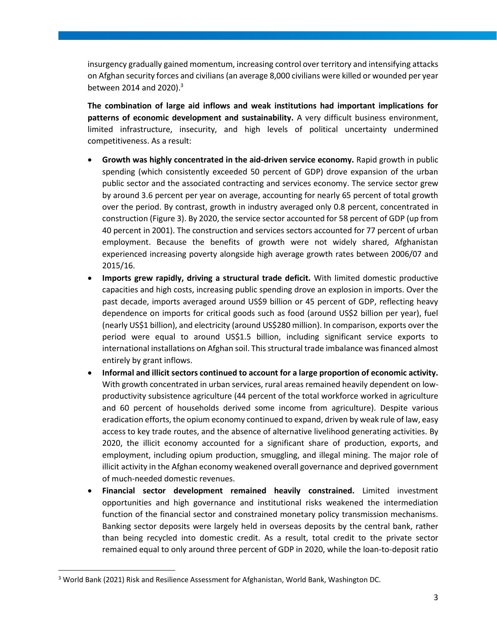insurgency gradually gained momentum, increasing control over territory and intensifying attacks on Afghan security forces and civilians (an average 8,000 civilians were killed or wounded per year between 2014 and 2020).<sup>3</sup>

**The combination of large aid inflows and weak institutions had important implications for patterns of economic development and sustainability.** A very difficult business environment, limited infrastructure, insecurity, and high levels of political uncertainty undermined competitiveness. As a result:

- Growth was highly concentrated in the aid-driven service economy. Rapid growth in public spending (which consistently exceeded 50 percent of GDP) drove expansion of the urban public sector and the associated contracting and services economy. The service sector grew by around 3.6 percent per year on average, accounting for nearly 65 percent of total growth over the period. By contrast, growth in industry averaged only 0.8 percent, concentrated in construction [\(Figure 3\)](#page-12-0). By 2020, the service sector accounted for 58 percent of GDP (up from 40 percent in 2001). The construction and services sectors accounted for 77 percent of urban employment. Because the benefits of growth were not widely shared, Afghanistan experienced increasing poverty alongside high average growth rates between 2006/07 and 2015/16.
- **Imports grew rapidly, driving a structural trade deficit.** With limited domestic productive capacities and high costs, increasing public spending drove an explosion in imports. Over the past decade, imports averaged around US\$9 billion or 45 percent of GDP, reflecting heavy dependence on imports for critical goods such as food (around US\$2 billion per year), fuel (nearly US\$1 billion), and electricity (around US\$280 million). In comparison, exports over the period were equal to around US\$1.5 billion, including significant service exports to international installations on Afghan soil. This structural trade imbalance was financed almost entirely by grant inflows.
- **Informal and illicit sectors continued to account for a large proportion of economic activity.**  With growth concentrated in urban services, rural areas remained heavily dependent on lowproductivity subsistence agriculture (44 percent of the total workforce worked in agriculture and 60 percent of households derived some income from agriculture). Despite various eradication efforts, the opium economy continued to expand, driven by weak rule of law, easy access to key trade routes, and the absence of alternative livelihood generating activities. By 2020, the illicit economy accounted for a significant share of production, exports, and employment, including opium production, smuggling, and illegal mining. The major role of illicit activity in the Afghan economy weakened overall governance and deprived government of much-needed domestic revenues.
- **Financial sector development remained heavily constrained.** Limited investment opportunities and high governance and institutional risks weakened the intermediation function of the financial sector and constrained monetary policy transmission mechanisms. Banking sector deposits were largely held in overseas deposits by the central bank, rather than being recycled into domestic credit. As a result, total credit to the private sector remained equal to only around three percent of GDP in 2020, while the loan-to-deposit ratio

<sup>3</sup> World Bank (2021) Risk and Resilience Assessment for Afghanistan, World Bank, Washington DC.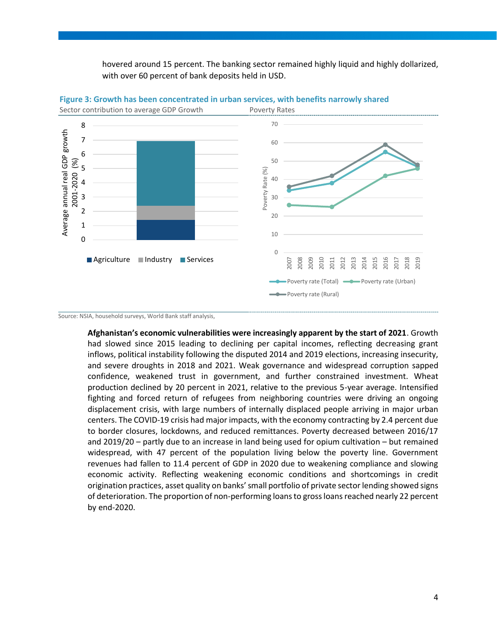hovered around 15 percent. The banking sector remained highly liquid and highly dollarized, with over 60 percent of bank deposits held in USD.



<span id="page-12-0"></span>**Figure 3: Growth has been concentrated in urban services, with benefits narrowly shared**

**Afghanistan's economic vulnerabilities were increasingly apparent by the start of 2021**. Growth had slowed since 2015 leading to declining per capital incomes, reflecting decreasing grant inflows, political instability following the disputed 2014 and 2019 elections, increasing insecurity, and severe droughts in 2018 and 2021. Weak governance and widespread corruption sapped confidence, weakened trust in government, and further constrained investment. Wheat production declined by 20 percent in 2021, relative to the previous 5-year average. Intensified fighting and forced return of refugees from neighboring countries were driving an ongoing displacement crisis, with large numbers of internally displaced people arriving in major urban centers. The COVID-19 crisis had major impacts, with the economy contracting by 2.4 percent due to border closures, lockdowns, and reduced remittances. Poverty decreased between 2016/17 and 2019/20 – partly due to an increase in land being used for opium cultivation – but remained widespread, with 47 percent of the population living below the poverty line. Government revenues had fallen to 11.4 percent of GDP in 2020 due to weakening compliance and slowing economic activity. Reflecting weakening economic conditions and shortcomings in credit origination practices, asset quality on banks' small portfolio of private sector lending showed signs of deterioration. The proportion of non-performing loans to gross loans reached nearly 22 percent by end-2020.

Source: NSIA, household surveys, World Bank staff analysis,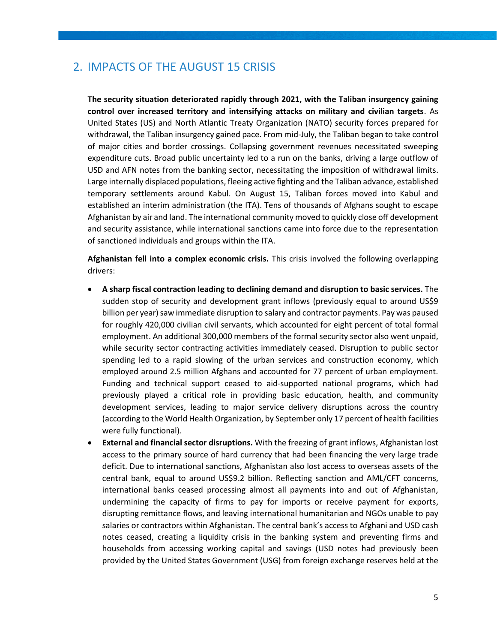## <span id="page-13-0"></span>2. IMPACTS OF THE AUGUST 15 CRISIS

**The security situation deteriorated rapidly through 2021, with the Taliban insurgency gaining control over increased territory and intensifying attacks on military and civilian targets**. As United States (US) and North Atlantic Treaty Organization (NATO) security forces prepared for withdrawal, the Taliban insurgency gained pace. From mid-July, the Taliban began to take control of major cities and border crossings. Collapsing government revenues necessitated sweeping expenditure cuts. Broad public uncertainty led to a run on the banks, driving a large outflow of USD and AFN notes from the banking sector, necessitating the imposition of withdrawal limits. Large internally displaced populations, fleeing active fighting and the Taliban advance, established temporary settlements around Kabul. On August 15, Taliban forces moved into Kabul and established an interim administration (the ITA). Tens of thousands of Afghans sought to escape Afghanistan by air and land. The international community moved to quickly close off development and security assistance, while international sanctions came into force due to the representation of sanctioned individuals and groups within the ITA.

**Afghanistan fell into a complex economic crisis.** This crisis involved the following overlapping drivers:

- **A sharp fiscal contraction leading to declining demand and disruption to basic services.** The sudden stop of security and development grant inflows (previously equal to around US\$9 billion per year) saw immediate disruption to salary and contractor payments. Pay was paused for roughly 420,000 civilian civil servants, which accounted for eight percent of total formal employment. An additional 300,000 members of the formal security sector also went unpaid, while security sector contracting activities immediately ceased. Disruption to public sector spending led to a rapid slowing of the urban services and construction economy, which employed around 2.5 million Afghans and accounted for 77 percent of urban employment. Funding and technical support ceased to aid-supported national programs, which had previously played a critical role in providing basic education, health, and community development services, leading to major service delivery disruptions across the country (according to the World Health Organization, by September only 17 percent of health facilities were fully functional).
- **External and financial sector disruptions.** With the freezing of grant inflows, Afghanistan lost access to the primary source of hard currency that had been financing the very large trade deficit. Due to international sanctions, Afghanistan also lost access to overseas assets of the central bank, equal to around US\$9.2 billion. Reflecting sanction and AML/CFT concerns, international banks ceased processing almost all payments into and out of Afghanistan, undermining the capacity of firms to pay for imports or receive payment for exports, disrupting remittance flows, and leaving international humanitarian and NGOs unable to pay salaries or contractors within Afghanistan. The central bank's access to Afghani and USD cash notes ceased, creating a liquidity crisis in the banking system and preventing firms and households from accessing working capital and savings (USD notes had previously been provided by the United States Government (USG) from foreign exchange reserves held at the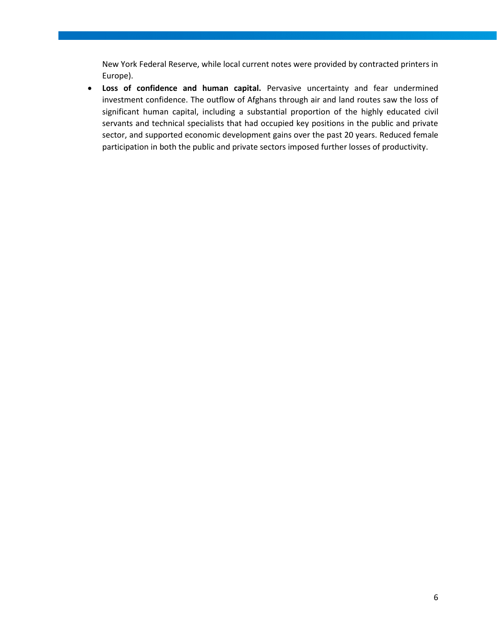New York Federal Reserve, while local current notes were provided by contracted printers in Europe).

• **Loss of confidence and human capital.** Pervasive uncertainty and fear undermined investment confidence. The outflow of Afghans through air and land routes saw the loss of significant human capital, including a substantial proportion of the highly educated civil servants and technical specialists that had occupied key positions in the public and private sector, and supported economic development gains over the past 20 years. Reduced female participation in both the public and private sectors imposed further losses of productivity.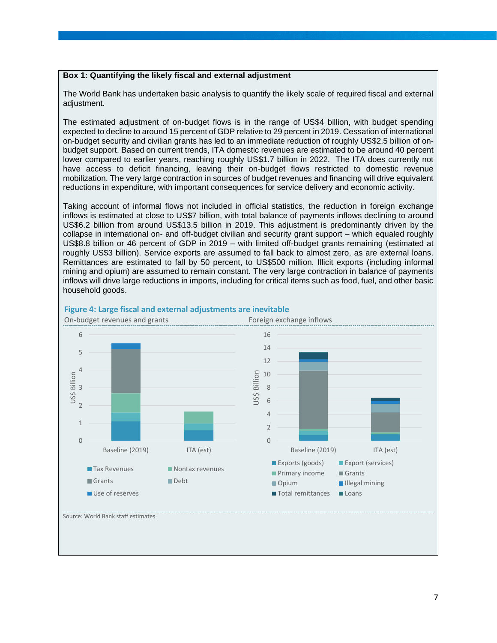#### **Box 1: Quantifying the likely fiscal and external adjustment**

The World Bank has undertaken basic analysis to quantify the likely scale of required fiscal and external adjustment.

The estimated adjustment of on-budget flows is in the range of US\$4 billion, with budget spending expected to decline to around 15 percent of GDP relative to 29 percent in 2019. Cessation of international on-budget security and civilian grants has led to an immediate reduction of roughly US\$2.5 billion of onbudget support. Based on current trends, ITA domestic revenues are estimated to be around 40 percent lower compared to earlier years, reaching roughly US\$1.7 billion in 2022. The ITA does currently not have access to deficit financing, leaving their on-budget flows restricted to domestic revenue mobilization. The very large contraction in sources of budget revenues and financing will drive equivalent reductions in expenditure, with important consequences for service delivery and economic activity.

Taking account of informal flows not included in official statistics, the reduction in foreign exchange inflows is estimated at close to US\$7 billion, with total balance of payments inflows declining to around US\$6.2 billion from around US\$13.5 billion in 2019. This adjustment is predominantly driven by the collapse in international on- and off-budget civilian and security grant support – which equaled roughly US\$8.8 billion or 46 percent of GDP in 2019 – with limited off-budget grants remaining (estimated at roughly US\$3 billion). Service exports are assumed to fall back to almost zero, as are external loans. Remittances are estimated to fall by 50 percent, to US\$500 million. Illicit exports (including informal mining and opium) are assumed to remain constant. The very large contraction in balance of payments inflows will drive large reductions in imports, including for critical items such as food, fuel, and other basic household goods.



#### **Figure 4: Large fiscal and external adjustments are inevitable**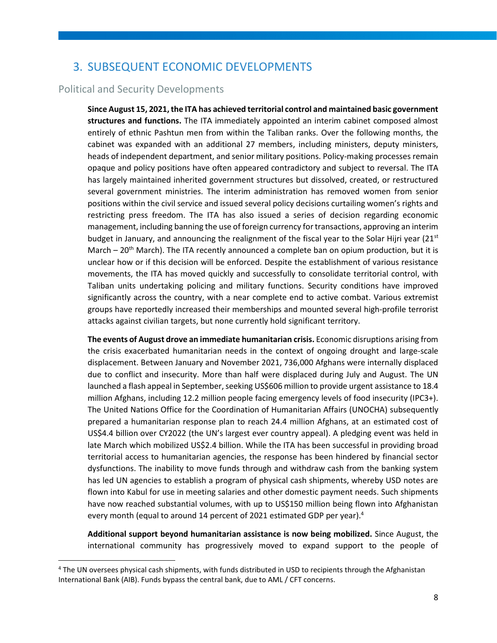## <span id="page-16-0"></span>3. SUBSEQUENT ECONOMIC DEVELOPMENTS

#### Political and Security Developments

**Since August 15, 2021, the ITA has achieved territorial control and maintained basic government structures and functions.** The ITA immediately appointed an interim cabinet composed almost entirely of ethnic Pashtun men from within the Taliban ranks. Over the following months, the cabinet was expanded with an additional 27 members, including ministers, deputy ministers, heads of independent department, and senior military positions. Policy-making processes remain opaque and policy positions have often appeared contradictory and subject to reversal. The ITA has largely maintained inherited government structures but dissolved, created, or restructured several government ministries. The interim administration has removed women from senior positions within the civil service and issued several policy decisions curtailing women's rights and restricting press freedom. The ITA has also issued a series of decision regarding economic management, including banning the use of foreign currency for transactions, approving an interim budget in January, and announcing the realignment of the fiscal year to the Solar Hijri year ( $21<sup>st</sup>$ March  $-20<sup>th</sup>$  March). The ITA recently announced a complete ban on opium production, but it is unclear how or if this decision will be enforced. Despite the establishment of various resistance movements, the ITA has moved quickly and successfully to consolidate territorial control, with Taliban units undertaking policing and military functions. Security conditions have improved significantly across the country, with a near complete end to active combat. Various extremist groups have reportedly increased their memberships and mounted several high-profile terrorist attacks against civilian targets, but none currently hold significant territory.

**The events of August drove an immediate humanitarian crisis.** Economic disruptions arising from the crisis exacerbated humanitarian needs in the context of ongoing drought and large-scale displacement. Between January and November 2021, 736,000 Afghans were internally displaced due to conflict and insecurity. More than half were displaced during July and August. The UN launched a flash appeal in September, seeking US\$606 million to provide urgent assistance to 18.4 million Afghans, including 12.2 million people facing emergency levels of food insecurity (IPC3+). The United Nations Office for the Coordination of Humanitarian Affairs (UNOCHA) subsequently prepared a humanitarian response plan to reach 24.4 million Afghans, at an estimated cost of US\$4.4 billion over CY2022 (the UN's largest ever country appeal). A pledging event was held in late March which mobilized US\$2.4 billion. While the ITA has been successful in providing broad territorial access to humanitarian agencies, the response has been hindered by financial sector dysfunctions. The inability to move funds through and withdraw cash from the banking system has led UN agencies to establish a program of physical cash shipments, whereby USD notes are flown into Kabul for use in meeting salaries and other domestic payment needs. Such shipments have now reached substantial volumes, with up to US\$150 million being flown into Afghanistan every month (equal to around 14 percent of 2021 estimated GDP per year). 4

**Additional support beyond humanitarian assistance is now being mobilized.** Since August, the international community has progressively moved to expand support to the people of

<sup>4</sup> The UN oversees physical cash shipments, with funds distributed in USD to recipients through the Afghanistan International Bank (AIB). Funds bypass the central bank, due to AML / CFT concerns.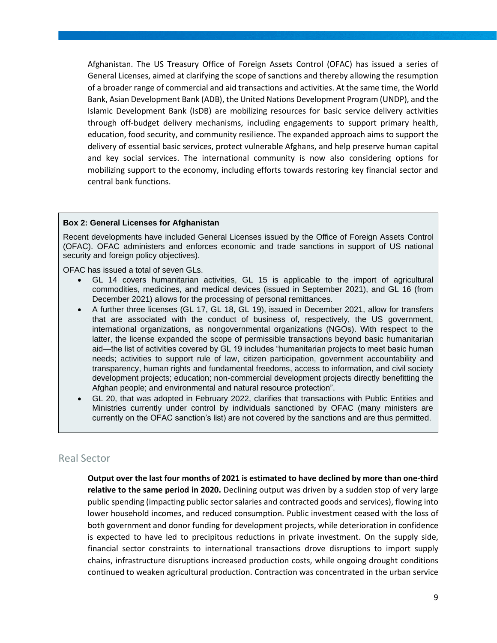Afghanistan. The US Treasury Office of Foreign Assets Control (OFAC) has issued a series of General Licenses, aimed at clarifying the scope of sanctions and thereby allowing the resumption of a broader range of commercial and aid transactions and activities. At the same time, the World Bank, Asian Development Bank (ADB), the United Nations Development Program (UNDP), and the Islamic Development Bank (IsDB) are mobilizing resources for basic service delivery activities through off-budget delivery mechanisms, including engagements to support primary health, education, food security, and community resilience. The expanded approach aims to support the delivery of essential basic services, protect vulnerable Afghans, and help preserve human capital and key social services. The international community is now also considering options for mobilizing support to the economy, including efforts towards restoring key financial sector and central bank functions.

#### **Box 2: General Licenses for Afghanistan**

Recent developments have included General Licenses issued by the Office of Foreign Assets Control (OFAC). OFAC administers and enforces economic and trade sanctions in support of US national security and foreign policy objectives).

OFAC has issued a total of seven GLs.

- GL 14 covers humanitarian activities, GL 15 is applicable to the import of agricultural commodities, medicines, and medical devices (issued in September 2021), and GL 16 (from December 2021) allows for the processing of personal remittances.
- A further three licenses (GL 17, GL 18, GL 19), issued in December 2021, allow for transfers that are associated with the conduct of business of, respectively, the US government, international organizations, as nongovernmental organizations (NGOs). With respect to the latter, the license expanded the scope of permissible transactions beyond basic humanitarian aid—the list of activities covered by GL 19 includes "humanitarian projects to meet basic human needs; activities to support rule of law, citizen participation, government accountability and transparency, human rights and fundamental freedoms, access to information, and civil society development projects; education; non-commercial development projects directly benefitting the Afghan people; and environmental and natural resource protection".
- GL 20, that was adopted in February 2022, clarifies that transactions with Public Entities and Ministries currently under control by individuals sanctioned by OFAC (many ministers are currently on the OFAC sanction's list) are not covered by the sanctions and are thus permitted.

#### Real Sector

**Output over the last four months of 2021 is estimated to have declined by more than one-third relative to the same period in 2020.** Declining output was driven by a sudden stop of very large public spending (impacting public sector salaries and contracted goods and services), flowing into lower household incomes, and reduced consumption. Public investment ceased with the loss of both government and donor funding for development projects, while deterioration in confidence is expected to have led to precipitous reductions in private investment. On the supply side, financial sector constraints to international transactions drove disruptions to import supply chains, infrastructure disruptions increased production costs, while ongoing drought conditions continued to weaken agricultural production. Contraction was concentrated in the urban service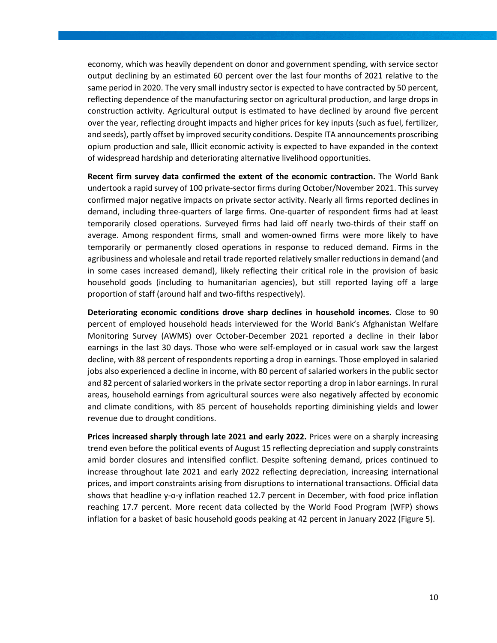economy, which was heavily dependent on donor and government spending, with service sector output declining by an estimated 60 percent over the last four months of 2021 relative to the same period in 2020. The very small industry sector is expected to have contracted by 50 percent, reflecting dependence of the manufacturing sector on agricultural production, and large drops in construction activity. Agricultural output is estimated to have declined by around five percent over the year, reflecting drought impacts and higher prices for key inputs (such as fuel, fertilizer, and seeds), partly offset by improved security conditions. Despite ITA announcements proscribing opium production and sale, Illicit economic activity is expected to have expanded in the context of widespread hardship and deteriorating alternative livelihood opportunities.

**Recent firm survey data confirmed the extent of the economic contraction.** The World Bank undertook a rapid survey of 100 private-sector firms during October/November 2021. This survey confirmed major negative impacts on private sector activity. Nearly all firms reported declines in demand, including three-quarters of large firms. One-quarter of respondent firms had at least temporarily closed operations. Surveyed firms had laid off nearly two-thirds of their staff on average. Among respondent firms, small and women-owned firms were more likely to have temporarily or permanently closed operations in response to reduced demand. Firms in the agribusiness and wholesale and retail trade reported relatively smaller reductions in demand (and in some cases increased demand), likely reflecting their critical role in the provision of basic household goods (including to humanitarian agencies), but still reported laying off a large proportion of staff (around half and two-fifths respectively).

**Deteriorating economic conditions drove sharp declines in household incomes.** Close to 90 percent of employed household heads interviewed for the World Bank's Afghanistan Welfare Monitoring Survey (AWMS) over October-December 2021 reported a decline in their labor earnings in the last 30 days. Those who were self-employed or in casual work saw the largest decline, with 88 percent of respondents reporting a drop in earnings. Those employed in salaried jobs also experienced a decline in income, with 80 percent of salaried workers in the public sector and 82 percent of salaried workers in the private sector reporting a drop in labor earnings. In rural areas, household earnings from agricultural sources were also negatively affected by economic and climate conditions, with 85 percent of households reporting diminishing yields and lower revenue due to drought conditions.

**Prices increased sharply through late 2021 and early 2022.** Prices were on a sharply increasing trend even before the political events of August 15 reflecting depreciation and supply constraints amid border closures and intensified conflict. Despite softening demand, prices continued to increase throughout late 2021 and early 2022 reflecting depreciation, increasing international prices, and import constraints arising from disruptions to international transactions. Official data shows that headline y-o-y inflation reached 12.7 percent in December, with food price inflation reaching 17.7 percent. More recent data collected by the World Food Program (WFP) shows inflation for a basket of basic household goods peaking at 42 percent in January 2022 [\(Figure 5\)](#page-19-0).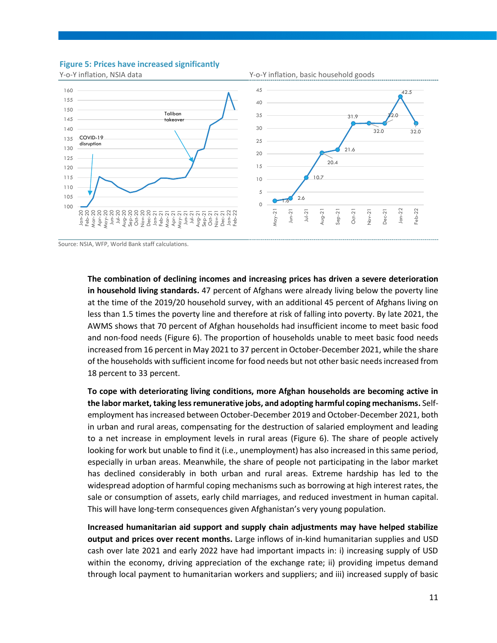#### <span id="page-19-0"></span>**Figure 5: Prices have increased significantly**



Source: NSIA, WFP, World Bank staff calculations.

**The combination of declining incomes and increasing prices has driven a severe deterioration in household living standards.** 47 percent of Afghans were already living below the poverty line at the time of the 2019/20 household survey, with an additional 45 percent of Afghans living on less than 1.5 times the poverty line and therefore at risk of falling into poverty. By late 2021, the AWMS shows that 70 percent of Afghan households had insufficient income to meet basic food and non-food needs [\(Figure 6\)](#page-20-0). The proportion of households unable to meet basic food needs increased from 16 percent in May 2021 to 37 percent in October-December 2021, while the share of the households with sufficient income for food needs but not other basic needsincreased from 18 percent to 33 percent.

**To cope with deteriorating living conditions, more Afghan households are becoming active in the labor market, taking less remunerative jobs, and adopting harmful coping mechanisms.** Selfemployment has increased between October-December 2019 and October-December 2021, both in urban and rural areas, compensating for the destruction of salaried employment and leading to a net increase in employment levels in rural areas [\(Figure 6\)](#page-20-0). The share of people actively looking for work but unable to find it (i.e., unemployment) has also increased in this same period, especially in urban areas. Meanwhile, the share of people not participating in the labor market has declined considerably in both urban and rural areas. Extreme hardship has led to the widespread adoption of harmful coping mechanisms such as borrowing at high interest rates, the sale or consumption of assets, early child marriages, and reduced investment in human capital. This will have long-term consequences given Afghanistan's very young population.

**Increased humanitarian aid support and supply chain adjustments may have helped stabilize output and prices over recent months.** Large inflows of in-kind humanitarian supplies and USD cash over late 2021 and early 2022 have had important impacts in: i) increasing supply of USD within the economy, driving appreciation of the exchange rate; ii) providing impetus demand through local payment to humanitarian workers and suppliers; and iii) increased supply of basic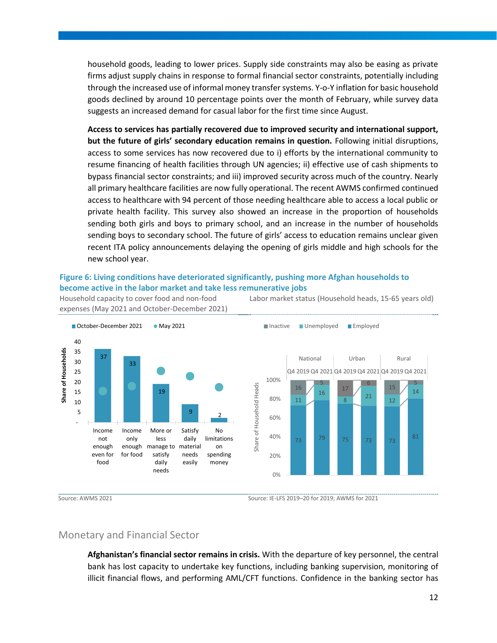household goods, leading to lower prices. Supply side constraints may also be easing as private firms adjust supply chains in response to formal financial sector constraints, potentially including through the increased use of informal money transfer systems. Y-o-Y inflation for basic household goods declined by around 10 percentage points over the month of February, while survey data suggests an increased demand for casual labor for the first time since August.

**Access to services has partially recovered due to improved security and international support, but the future of girls' secondary education remains in question.** Following initial disruptions, access to some services has now recovered due to i) efforts by the international community to resume financing of health facilities through UN agencies; ii) effective use of cash shipments to bypass financial sector constraints; and iii) improved security across much of the country. Nearly all primary healthcare facilities are now fully operational. The recent AWMS confirmed continued access to healthcare with 94 percent of those needing healthcare able to access a local public or private health facility. This survey also showed an increase in the proportion of households sending both girls and boys to primary school, and an increase in the number of households sending boys to secondary school. The future of girls' access to education remains unclear given recent ITA policy announcements delaying the opening of girls middle and high schools for the new school year.

#### <span id="page-20-0"></span>**Figure 6: Living conditions have deteriorated significantly, pushing more Afghan households to become active in the labor market and take less remunerative jobs**

Household capacity to cover food and non-food expenses (May 2021 and October-December 2021) Labor market status (Household heads, 15-65 years old)



#### Monetary and Financial Sector

**Afghanistan's financial sector remains in crisis.** With the departure of key personnel, the central bank has lost capacity to undertake key functions, including banking supervision, monitoring of illicit financial flows, and performing AML/CFT functions. Confidence in the banking sector has

Source: AWMS 2021 Source: IE-LFS 2019–20 for 2019; AWMS for 2021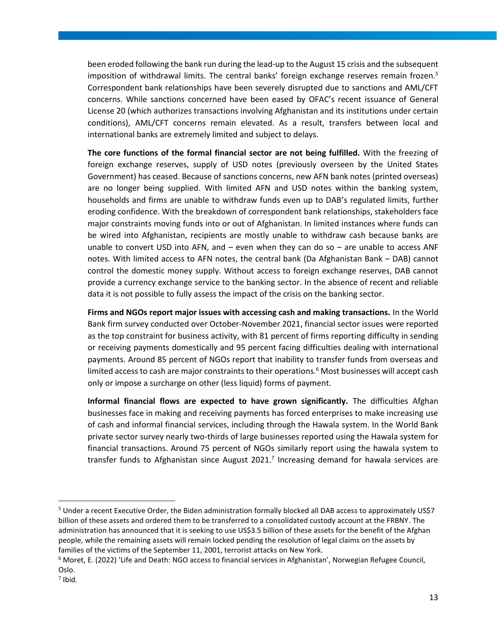been eroded following the bank run during the lead-up to the August 15 crisis and the subsequent imposition of withdrawal limits. The central banks' foreign exchange reserves remain frozen.<sup>5</sup> Correspondent bank relationships have been severely disrupted due to sanctions and AML/CFT concerns. While sanctions concerned have been eased by OFAC's recent issuance of General License 20 (which authorizes transactions involving Afghanistan and its institutions under certain conditions), AML/CFT concerns remain elevated. As a result, transfers between local and international banks are extremely limited and subject to delays.

**The core functions of the formal financial sector are not being fulfilled.** With the freezing of foreign exchange reserves, supply of USD notes (previously overseen by the United States Government) has ceased. Because of sanctions concerns, new AFN bank notes (printed overseas) are no longer being supplied. With limited AFN and USD notes within the banking system, households and firms are unable to withdraw funds even up to DAB's regulated limits, further eroding confidence. With the breakdown of correspondent bank relationships, stakeholders face major constraints moving funds into or out of Afghanistan. In limited instances where funds can be wired into Afghanistan, recipients are mostly unable to withdraw cash because banks are unable to convert USD into AFN, and  $-$  even when they can do so  $-$  are unable to access ANF notes. With limited access to AFN notes, the central bank (Da Afghanistan Bank – DAB) cannot control the domestic money supply. Without access to foreign exchange reserves, DAB cannot provide a currency exchange service to the banking sector. In the absence of recent and reliable data it is not possible to fully assess the impact of the crisis on the banking sector.

**Firms and NGOs report major issues with accessing cash and making transactions.** In the World Bank firm survey conducted over October-November 2021, financial sector issues were reported as the top constraint for business activity, with 81 percent of firms reporting difficulty in sending or receiving payments domestically and 95 percent facing difficulties dealing with international payments. Around 85 percent of NGOs report that inability to transfer funds from overseas and limited access to cash are major constraints to their operations.<sup>6</sup> Most businesses will accept cash only or impose a surcharge on other (less liquid) forms of payment.

**Informal financial flows are expected to have grown significantly.** The difficulties Afghan businesses face in making and receiving payments has forced enterprises to make increasing use of cash and informal financial services, including through the Hawala system. In the World Bank private sector survey nearly two-thirds of large businesses reported using the Hawala system for financial transactions. Around 75 percent of NGOs similarly report using the hawala system to transfer funds to Afghanistan since August 2021.<sup>7</sup> Increasing demand for hawala services are

<sup>&</sup>lt;sup>5</sup> Under a recent Executive Order, the Biden administration formally blocked all DAB access to approximately US\$7 billion of these assets and ordered them to be transferred to a consolidated custody account at the FRBNY. The administration has announced that it is seeking to use US\$3.5 billion of these assets for the benefit of the Afghan people, while the remaining assets will remain locked pending the resolution of legal claims on the assets by families of the victims of the September 11, 2001, terrorist attacks on New York.

<sup>&</sup>lt;sup>6</sup> Moret, E. (2022) 'Life and Death: NGO access to financial services in Afghanistan', Norwegian Refugee Council, Oslo.

 $<sup>7</sup>$  Ibid.</sup>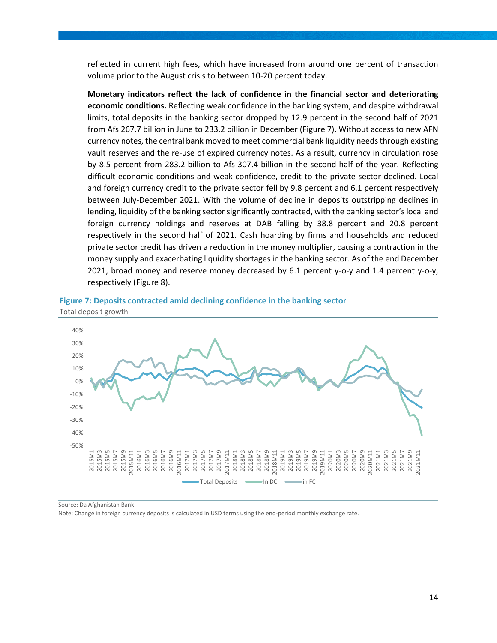reflected in current high fees, which have increased from around one percent of transaction volume prior to the August crisis to between 10-20 percent today.

**Monetary indicators reflect the lack of confidence in the financial sector and deteriorating economic conditions.** Reflecting weak confidence in the banking system, and despite withdrawal limits, total deposits in the banking sector dropped by 12.9 percent in the second half of 2021 from Afs 267.7 billion in June to 233.2 billion in December [\(Figure 7\)](#page-22-0). Without access to new AFN currency notes, the central bank moved to meet commercial bank liquidity needs through existing vault reserves and the re-use of expired currency notes. As a result, currency in circulation rose by 8.5 percent from 283.2 billion to Afs 307.4 billion in the second half of the year. Reflecting difficult economic conditions and weak confidence, credit to the private sector declined. Local and foreign currency credit to the private sector fell by 9.8 percent and 6.1 percent respectively between July-December 2021. With the volume of decline in deposits outstripping declines in lending, liquidity of the banking sector significantly contracted, with the banking sector's local and foreign currency holdings and reserves at DAB falling by 38.8 percent and 20.8 percent respectively in the second half of 2021. Cash hoarding by firms and households and reduced private sector credit has driven a reduction in the money multiplier, causing a contraction in the money supply and exacerbating liquidity shortages in the banking sector. As of the end December 2021, broad money and reserve money decreased by 6.1 percent y-o-y and 1.4 percent y-o-y, respectively [\(Figure 8\)](#page-23-0).

<span id="page-22-0"></span>



Source: Da Afghanistan Bank

Note: Change in foreign currency deposits is calculated in USD terms using the end-period monthly exchange rate.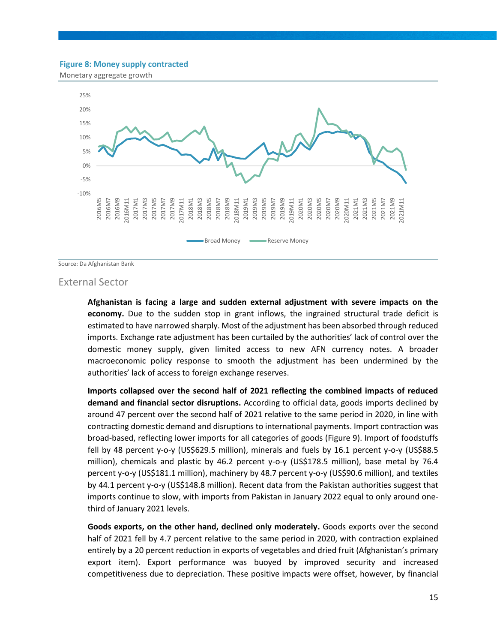#### <span id="page-23-0"></span>**Figure 8: Money supply contracted**

Monetary aggregate growth



Source: Da Afghanistan Bank

#### External Sector

**Afghanistan is facing a large and sudden external adjustment with severe impacts on the economy.** Due to the sudden stop in grant inflows, the ingrained structural trade deficit is estimated to have narrowed sharply. Most of the adjustment has been absorbed through reduced imports. Exchange rate adjustment has been curtailed by the authorities' lack of control over the domestic money supply, given limited access to new AFN currency notes. A broader macroeconomic policy response to smooth the adjustment has been undermined by the authorities' lack of access to foreign exchange reserves.

**Imports collapsed over the second half of 2021 reflecting the combined impacts of reduced demand and financial sector disruptions.** According to official data, goods imports declined by around 47 percent over the second half of 2021 relative to the same period in 2020, in line with contracting domestic demand and disruptions to international payments. Import contraction was broad-based, reflecting lower imports for all categories of goods [\(Figure 9\)](#page-24-0). Import of foodstuffs fell by 48 percent y-o-y (US\$629.5 million), minerals and fuels by 16.1 percent y-o-y (US\$88.5 million), chemicals and plastic by 46.2 percent y-o-y (US\$178.5 million), base metal by 76.4 percent y-o-y (US\$181.1 million), machinery by 48.7 percent y-o-y (US\$90.6 million), and textiles by 44.1 percent y-o-y (US\$148.8 million). Recent data from the Pakistan authorities suggest that imports continue to slow, with imports from Pakistan in January 2022 equal to only around onethird of January 2021 levels.

**Goods exports, on the other hand, declined only moderately.** Goods exports over the second half of 2021 fell by 4.7 percent relative to the same period in 2020, with contraction explained entirely by a 20 percent reduction in exports of vegetables and dried fruit (Afghanistan's primary export item). Export performance was buoyed by improved security and increased competitiveness due to depreciation. These positive impacts were offset, however, by financial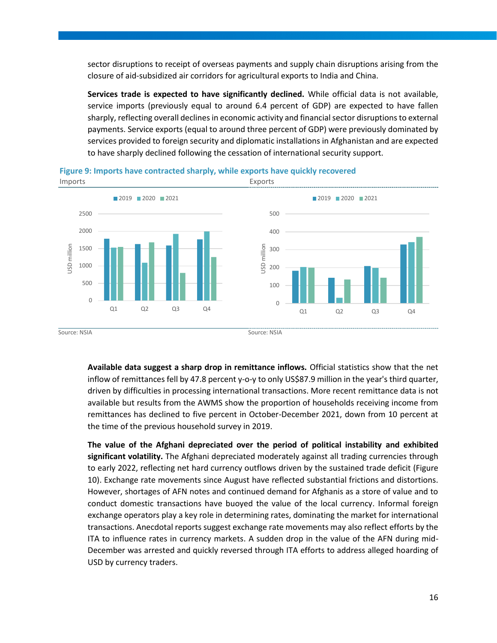sector disruptions to receipt of overseas payments and supply chain disruptions arising from the closure of aid-subsidized air corridors for agricultural exports to India and China.

**Services trade is expected to have significantly declined.** While official data is not available, service imports (previously equal to around 6.4 percent of GDP) are expected to have fallen sharply, reflecting overall declines in economic activity and financial sector disruptions to external payments. Service exports (equal to around three percent of GDP) were previously dominated by services provided to foreign security and diplomatic installations in Afghanistan and are expected to have sharply declined following the cessation of international security support.



#### <span id="page-24-0"></span>**Figure 9: Imports have contracted sharply, while exports have quickly recovered**

Source: NSIA Source: NSIA

**Available data suggest a sharp drop in remittance inflows.** Official statistics show that the net inflow of remittances fell by 47.8 percent y-o-y to only US\$87.9 million in the year's third quarter, driven by difficulties in processing international transactions. More recent remittance data is not available but results from the AWMS show the proportion of households receiving income from remittances has declined to five percent in October-December 2021, down from 10 percent at the time of the previous household survey in 2019.

**The value of the Afghani depreciated over the period of political instability and exhibited significant volatility.** The Afghani depreciated moderately against all trading currencies through to early 2022, reflecting net hard currency outflows driven by the sustained trade deficit [\(Figure](#page-25-0)  [10\)](#page-25-0). Exchange rate movements since August have reflected substantial frictions and distortions. However, shortages of AFN notes and continued demand for Afghanis as a store of value and to conduct domestic transactions have buoyed the value of the local currency. Informal foreign exchange operators play a key role in determining rates, dominating the market for international transactions. Anecdotal reports suggest exchange rate movements may also reflect efforts by the ITA to influence rates in currency markets. A sudden drop in the value of the AFN during mid-December was arrested and quickly reversed through ITA efforts to address alleged hoarding of USD by currency traders.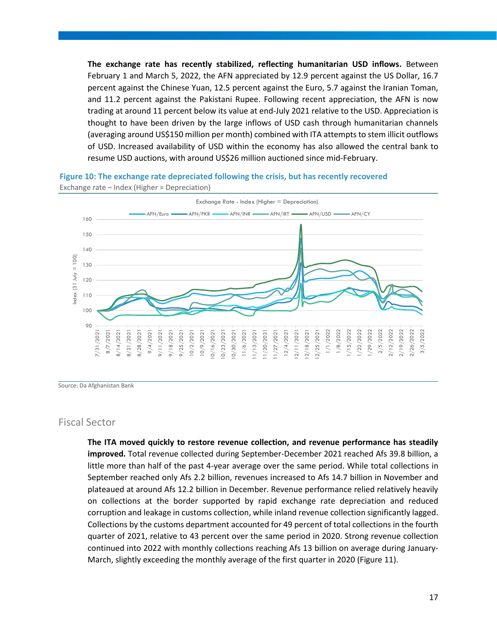**The exchange rate has recently stabilized, reflecting humanitarian USD inflows.** Between February 1 and March 5, 2022, the AFN appreciated by 12.9 percent against the US Dollar, 16.7 percent against the Chinese Yuan, 12.5 percent against the Euro, 5.7 against the Iranian Toman, and 11.2 percent against the Pakistani Rupee. Following recent appreciation, the AFN is now trading at around 11 percent below its value at end-July 2021 relative to the USD. Appreciation is thought to have been driven by the large inflows of USD cash through humanitarian channels (averaging around US\$150 million per month) combined with ITA attempts to stem illicit outflows of USD. Increased availability of USD within the economy has also allowed the central bank to resume USD auctions, with around US\$26 million auctioned since mid-February.

<span id="page-25-0"></span>**Figure 10: The exchange rate depreciated following the crisis, but has recently recovered**



Exchange rate – Index (Higher = Depreciation)

Source: Da Afghanistan Bank

#### Fiscal Sector

**The ITA moved quickly to restore revenue collection, and revenue performance has steadily improved.** Total revenue collected during September-December 2021 reached Afs 39.8 billion, a little more than half of the past 4-year average over the same period. While total collections in September reached only Afs 2.2 billion, revenues increased to Afs 14.7 billion in November and plateaued at around Afs 12.2 billion in December. Revenue performance relied relatively heavily on collections at the border supported by rapid exchange rate depreciation and reduced corruption and leakage in customs collection, while inland revenue collection significantly lagged. Collections by the customs department accounted for 49 percent of total collections in the fourth quarter of 2021, relative to 43 percent over the same period in 2020. Strong revenue collection continued into 2022 with monthly collections reaching Afs 13 billion on average during January-March, slightly exceeding the monthly average of the first quarter in 2020 [\(Figure 11\)](#page-26-0).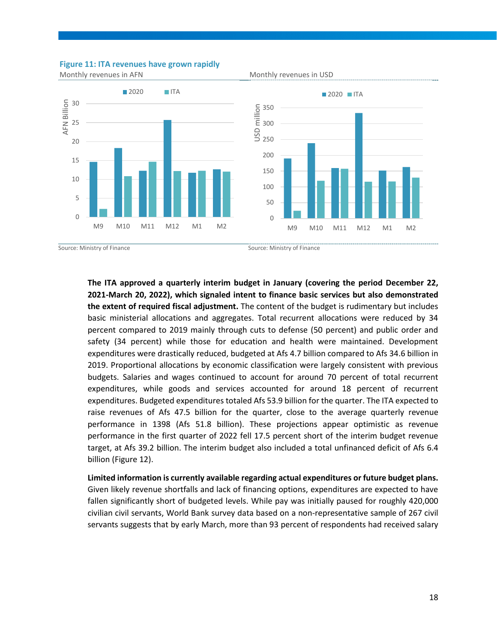

<span id="page-26-0"></span>**Figure 11: ITA revenues have grown rapidly**

Source: Ministry of Finance Source: Ministry of Finance

**The ITA approved a quarterly interim budget in January (covering the period December 22, 2021-March 20, 2022), which signaled intent to finance basic services but also demonstrated the extent of required fiscal adjustment.** The content of the budget is rudimentary but includes basic ministerial allocations and aggregates. Total recurrent allocations were reduced by 34 percent compared to 2019 mainly through cuts to defense (50 percent) and public order and safety (34 percent) while those for education and health were maintained. Development expenditures were drastically reduced, budgeted at Afs 4.7 billion compared to Afs 34.6 billion in 2019. Proportional allocations by economic classification were largely consistent with previous budgets. Salaries and wages continued to account for around 70 percent of total recurrent expenditures, while goods and services accounted for around 18 percent of recurrent expenditures. Budgeted expenditures totaled Afs 53.9 billion for the quarter. The ITA expected to raise revenues of Afs 47.5 billion for the quarter, close to the average quarterly revenue performance in 1398 (Afs 51.8 billion). These projections appear optimistic as revenue performance in the first quarter of 2022 fell 17.5 percent short of the interim budget revenue target, at Afs 39.2 billion. The interim budget also included a total unfinanced deficit of Afs 6.4 billion [\(Figure 12\)](#page-27-0).

**Limited information is currently available regarding actual expenditures or future budget plans.**  Given likely revenue shortfalls and lack of financing options, expenditures are expected to have fallen significantly short of budgeted levels. While pay was initially paused for roughly 420,000 civilian civil servants, World Bank survey data based on a non-representative sample of 267 civil servants suggests that by early March, more than 93 percent of respondents had received salary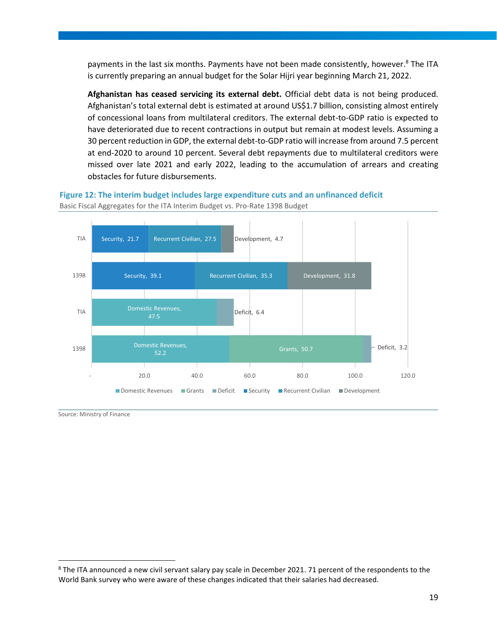payments in the last six months. Payments have not been made consistently, however.<sup>8</sup> The ITA is currently preparing an annual budget for the Solar Hijri year beginning March 21, 2022.

**Afghanistan has ceased servicing its external debt.** Official debt data is not being produced. Afghanistan's total external debt is estimated at around US\$1.7 billion, consisting almost entirely of concessional loans from multilateral creditors. The external debt-to-GDP ratio is expected to have deteriorated due to recent contractions in output but remain at modest levels. Assuming a 30 percent reduction in GDP, the external debt-to-GDP ratio will increase from around 7.5 percent at end-2020 to around 10 percent. Several debt repayments due to multilateral creditors were missed over late 2021 and early 2022, leading to the accumulation of arrears and creating obstacles for future disbursements.

<span id="page-27-0"></span>**Figure 12: The interim budget includes large expenditure cuts and an unfinanced deficit** Basic Fiscal Aggregates for the ITA Interim Budget vs. Pro-Rate 1398 Budget



Source: Ministry of Finance

<sup>&</sup>lt;sup>8</sup> The ITA announced a new civil servant salary pay scale in December 2021. 71 percent of the respondents to the World Bank survey who were aware of these changes indicated that their salaries had decreased.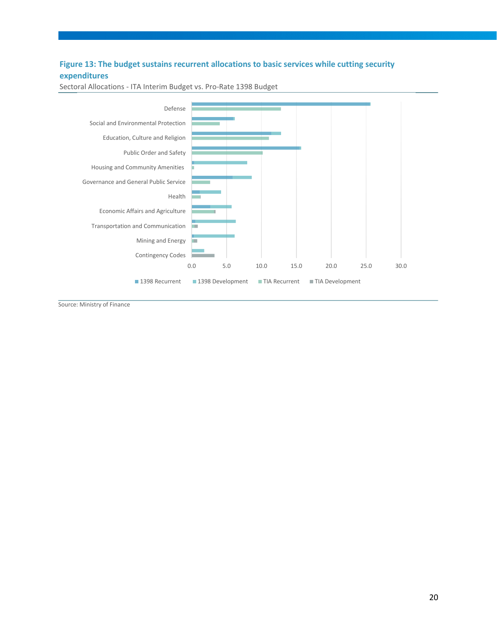### **Figure 13: The budget sustains recurrent allocations to basic services while cutting security expenditures**



Sectoral Allocations - ITA Interim Budget vs. Pro-Rate 1398 Budget

Source: Ministry of Finance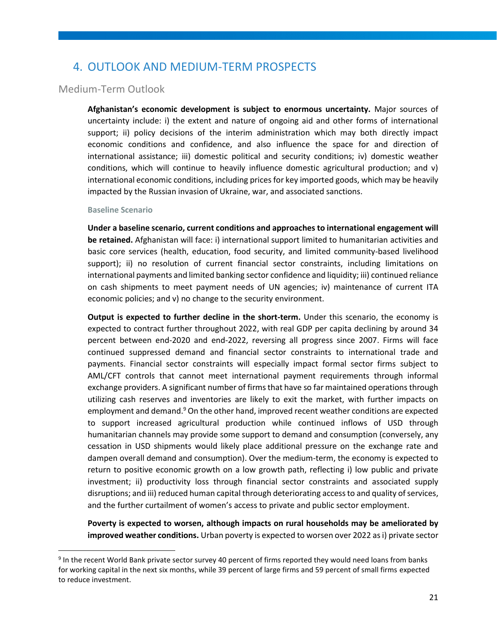## <span id="page-29-0"></span>4. OUTLOOK AND MEDIUM-TERM PROSPECTS

#### Medium-Term Outlook

**Afghanistan's economic development is subject to enormous uncertainty.** Major sources of uncertainty include: i) the extent and nature of ongoing aid and other forms of international support; ii) policy decisions of the interim administration which may both directly impact economic conditions and confidence, and also influence the space for and direction of international assistance; iii) domestic political and security conditions; iv) domestic weather conditions, which will continue to heavily influence domestic agricultural production; and v) international economic conditions, including prices for key imported goods, which may be heavily impacted by the Russian invasion of Ukraine, war, and associated sanctions.

#### **Baseline Scenario**

**Under a baseline scenario, current conditions and approaches to international engagement will be retained.** Afghanistan will face: i) international support limited to humanitarian activities and basic core services (health, education, food security, and limited community-based livelihood support); ii) no resolution of current financial sector constraints, including limitations on international payments and limited banking sector confidence and liquidity; iii) continued reliance on cash shipments to meet payment needs of UN agencies; iv) maintenance of current ITA economic policies; and v) no change to the security environment.

**Output is expected to further decline in the short-term.** Under this scenario, the economy is expected to contract further throughout 2022, with real GDP per capita declining by around 34 percent between end-2020 and end-2022, reversing all progress since 2007. Firms will face continued suppressed demand and financial sector constraints to international trade and payments. Financial sector constraints will especially impact formal sector firms subject to AML/CFT controls that cannot meet international payment requirements through informal exchange providers. A significant number of firms that have so far maintained operations through utilizing cash reserves and inventories are likely to exit the market, with further impacts on employment and demand.<sup>9</sup> On the other hand, improved recent weather conditions are expected to support increased agricultural production while continued inflows of USD through humanitarian channels may provide some support to demand and consumption (conversely, any cessation in USD shipments would likely place additional pressure on the exchange rate and dampen overall demand and consumption). Over the medium-term, the economy is expected to return to positive economic growth on a low growth path, reflecting i) low public and private investment; ii) productivity loss through financial sector constraints and associated supply disruptions; and iii) reduced human capital through deteriorating access to and quality of services, and the further curtailment of women's access to private and public sector employment.

**Poverty is expected to worsen, although impacts on rural households may be ameliorated by improved weather conditions.** Urban poverty is expected to worsen over 2022 as i) private sector

<sup>&</sup>lt;sup>9</sup> In the recent World Bank private sector survey 40 percent of firms reported they would need loans from banks for working capital in the next six months, while 39 percent of large firms and 59 percent of small firms expected to reduce investment.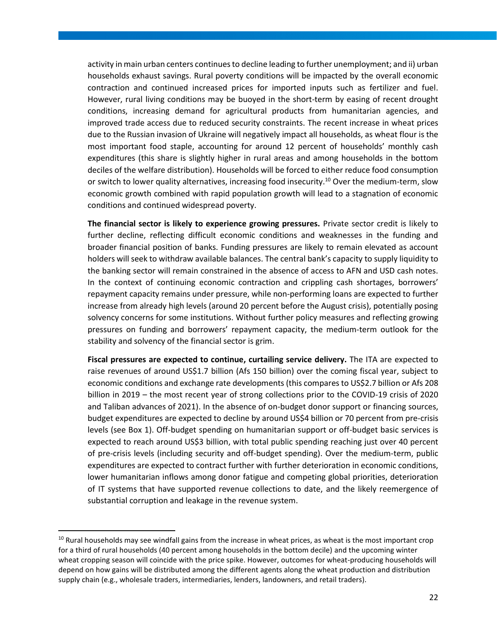activity in main urban centers continues to decline leading to further unemployment; and ii) urban households exhaust savings. Rural poverty conditions will be impacted by the overall economic contraction and continued increased prices for imported inputs such as fertilizer and fuel. However, rural living conditions may be buoyed in the short-term by easing of recent drought conditions, increasing demand for agricultural products from humanitarian agencies, and improved trade access due to reduced security constraints. The recent increase in wheat prices due to the Russian invasion of Ukraine will negatively impact all households, as wheat flour is the most important food staple, accounting for around 12 percent of households' monthly cash expenditures (this share is slightly higher in rural areas and among households in the bottom deciles of the welfare distribution). Households will be forced to either reduce food consumption or switch to lower quality alternatives, increasing food insecurity.<sup>10</sup> Over the medium-term, slow economic growth combined with rapid population growth will lead to a stagnation of economic conditions and continued widespread poverty.

**The financial sector is likely to experience growing pressures.** Private sector credit is likely to further decline, reflecting difficult economic conditions and weaknesses in the funding and broader financial position of banks. Funding pressures are likely to remain elevated as account holders will seek to withdraw available balances. The central bank's capacity to supply liquidity to the banking sector will remain constrained in the absence of access to AFN and USD cash notes. In the context of continuing economic contraction and crippling cash shortages, borrowers' repayment capacity remains under pressure, while non-performing loans are expected to further increase from already high levels (around 20 percent before the August crisis), potentially posing solvency concerns for some institutions. Without further policy measures and reflecting growing pressures on funding and borrowers' repayment capacity, the medium-term outlook for the stability and solvency of the financial sector is grim.

**Fiscal pressures are expected to continue, curtailing service delivery.** The ITA are expected to raise revenues of around US\$1.7 billion (Afs 150 billion) over the coming fiscal year, subject to economic conditions and exchange rate developments (this compares to US\$2.7 billion or Afs 208 billion in 2019 – the most recent year of strong collections prior to the COVID-19 crisis of 2020 and Taliban advances of 2021). In the absence of on-budget donor support or financing sources, budget expenditures are expected to decline by around US\$4 billion or 70 percent from pre-crisis levels (see Box 1). Off-budget spending on humanitarian support or off-budget basic services is expected to reach around US\$3 billion, with total public spending reaching just over 40 percent of pre-crisis levels (including security and off-budget spending). Over the medium-term, public expenditures are expected to contract further with further deterioration in economic conditions, lower humanitarian inflows among donor fatigue and competing global priorities, deterioration of IT systems that have supported revenue collections to date, and the likely reemergence of substantial corruption and leakage in the revenue system.

<sup>&</sup>lt;sup>10</sup> Rural households may see windfall gains from the increase in wheat prices, as wheat is the most important crop for a third of rural households (40 percent among households in the bottom decile) and the upcoming winter wheat cropping season will coincide with the price spike. However, outcomes for wheat-producing households will depend on how gains will be distributed among the different agents along the wheat production and distribution supply chain (e.g., wholesale traders, intermediaries, lenders, landowners, and retail traders).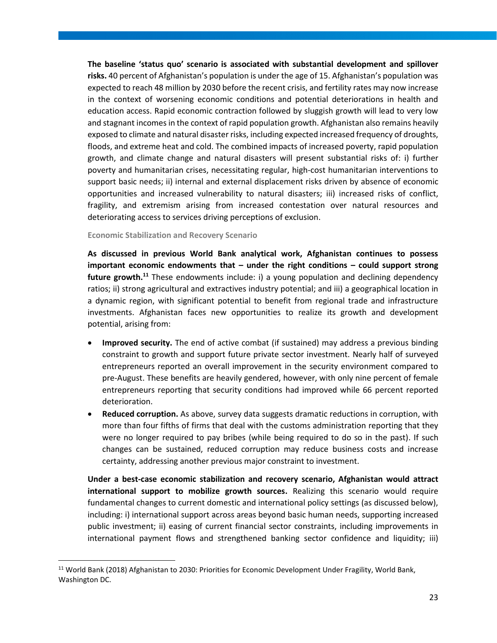**The baseline 'status quo' scenario is associated with substantial development and spillover risks.** 40 percent of Afghanistan's population is under the age of 15. Afghanistan's population was expected to reach 48 million by 2030 before the recent crisis, and fertility rates may now increase in the context of worsening economic conditions and potential deteriorations in health and education access. Rapid economic contraction followed by sluggish growth will lead to very low and stagnant incomes in the context of rapid population growth. Afghanistan also remains heavily exposed to climate and natural disaster risks, including expected increased frequency of droughts, floods, and extreme heat and cold. The combined impacts of increased poverty, rapid population growth, and climate change and natural disasters will present substantial risks of: i) further poverty and humanitarian crises, necessitating regular, high-cost humanitarian interventions to support basic needs; ii) internal and external displacement risks driven by absence of economic opportunities and increased vulnerability to natural disasters; iii) increased risks of conflict, fragility, and extremism arising from increased contestation over natural resources and deteriorating access to services driving perceptions of exclusion.

#### **Economic Stabilization and Recovery Scenario**

**As discussed in previous World Bank analytical work, Afghanistan continues to possess important economic endowments that – under the right conditions – could support strong future growth.<sup>11</sup>** These endowments include: i) a young population and declining dependency ratios; ii) strong agricultural and extractives industry potential; and iii) a geographical location in a dynamic region, with significant potential to benefit from regional trade and infrastructure investments. Afghanistan faces new opportunities to realize its growth and development potential, arising from:

- **Improved security.** The end of active combat (if sustained) may address a previous binding constraint to growth and support future private sector investment. Nearly half of surveyed entrepreneurs reported an overall improvement in the security environment compared to pre-August. These benefits are heavily gendered, however, with only nine percent of female entrepreneurs reporting that security conditions had improved while 66 percent reported deterioration.
- **Reduced corruption.** As above, survey data suggests dramatic reductions in corruption, with more than four fifths of firms that deal with the customs administration reporting that they were no longer required to pay bribes (while being required to do so in the past). If such changes can be sustained, reduced corruption may reduce business costs and increase certainty, addressing another previous major constraint to investment.

**Under a best-case economic stabilization and recovery scenario, Afghanistan would attract international support to mobilize growth sources.** Realizing this scenario would require fundamental changes to current domestic and international policy settings (as discussed below), including: i) international support across areas beyond basic human needs, supporting increased public investment; ii) easing of current financial sector constraints, including improvements in international payment flows and strengthened banking sector confidence and liquidity; iii)

<sup>&</sup>lt;sup>11</sup> World Bank (2018) Afghanistan to 2030: Priorities for Economic Development Under Fragility, World Bank, Washington DC.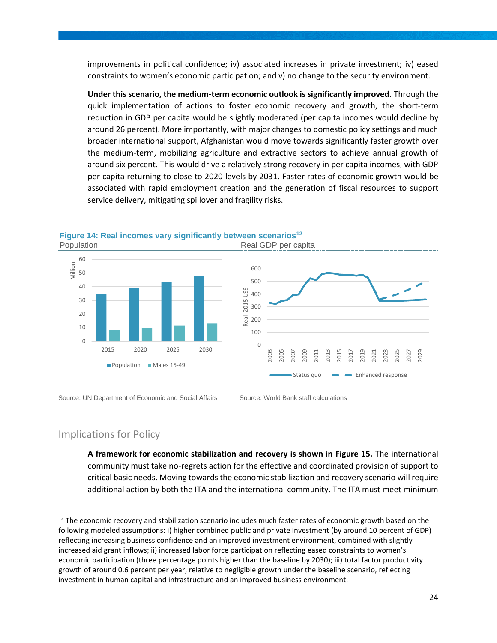improvements in political confidence; iv) associated increases in private investment; iv) eased constraints to women's economic participation; and v) no change to the security environment.

**Under this scenario, the medium-term economic outlook is significantly improved.** Through the quick implementation of actions to foster economic recovery and growth, the short-term reduction in GDP per capita would be slightly moderated (per capita incomes would decline by around 26 percent). More importantly, with major changes to domestic policy settings and much broader international support, Afghanistan would move towards significantly faster growth over the medium-term, mobilizing agriculture and extractive sectors to achieve annual growth of around six percent. This would drive a relatively strong recovery in per capita incomes, with GDP per capita returning to close to 2020 levels by 2031. Faster rates of economic growth would be associated with rapid employment creation and the generation of fiscal resources to support service delivery, mitigating spillover and fragility risks.





#### Implications for Policy

**A framework for economic stabilization and recovery is shown in [Figure 15.](#page-33-0)** The international community must take no-regrets action for the effective and coordinated provision of support to critical basic needs. Moving towards the economic stabilization and recovery scenario will require additional action by both the ITA and the international community. The ITA must meet minimum

Source: UN Department of Economic and Social Affairs **Source: World Bank staff calculations** 

<sup>&</sup>lt;sup>12</sup> The economic recovery and stabilization scenario includes much faster rates of economic growth based on the following modeled assumptions: i) higher combined public and private investment (by around 10 percent of GDP) reflecting increasing business confidence and an improved investment environment, combined with slightly increased aid grant inflows; ii) increased labor force participation reflecting eased constraints to women's economic participation (three percentage points higher than the baseline by 2030); iii) total factor productivity growth of around 0.6 percent per year, relative to negligible growth under the baseline scenario, reflecting investment in human capital and infrastructure and an improved business environment.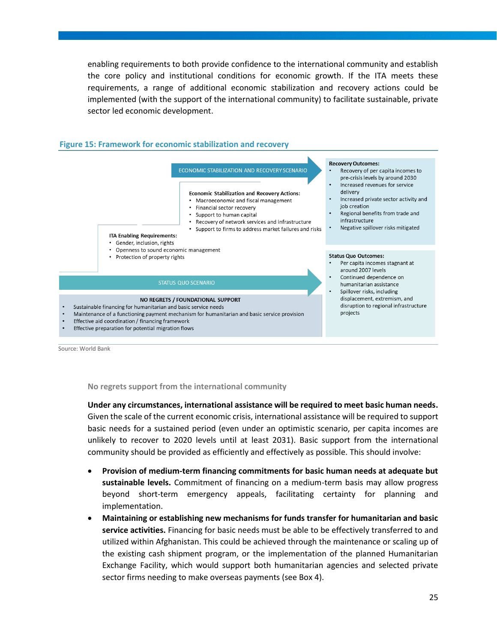enabling requirements to both provide confidence to the international community and establish the core policy and institutional conditions for economic growth. If the ITA meets these requirements, a range of additional economic stabilization and recovery actions could be implemented (with the support of the international community) to facilitate sustainable, private sector led economic development.

<span id="page-33-0"></span>

Source: World Bank

**No regrets support from the international community**

**Under any circumstances, international assistance will be required to meet basic human needs.** Given the scale of the current economic crisis, international assistance will be required to support basic needs for a sustained period (even under an optimistic scenario, per capita incomes are unlikely to recover to 2020 levels until at least 2031). Basic support from the international community should be provided as efficiently and effectively as possible. This should involve:

- **Provision of medium-term financing commitments for basic human needs at adequate but sustainable levels.** Commitment of financing on a medium-term basis may allow progress beyond short-term emergency appeals, facilitating certainty for planning and implementation.
- **Maintaining or establishing new mechanisms for funds transfer for humanitarian and basic service activities.** Financing for basic needs must be able to be effectively transferred to and utilized within Afghanistan. This could be achieved through the maintenance or scaling up of the existing cash shipment program, or the implementation of the planned Humanitarian Exchange Facility, which would support both humanitarian agencies and selected private sector firms needing to make overseas payments (see Box 4).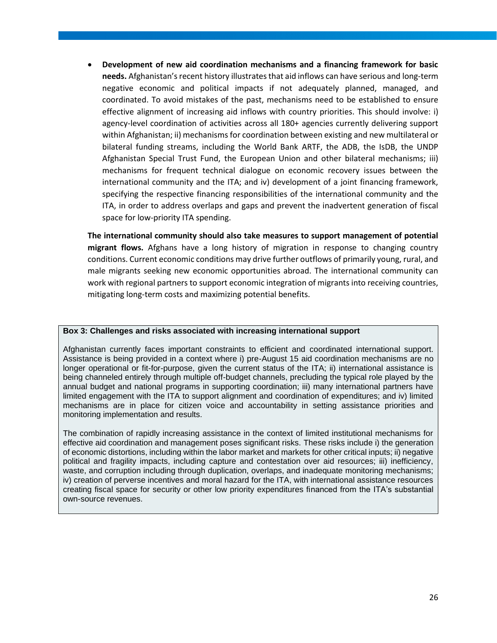• **Development of new aid coordination mechanisms and a financing framework for basic needs.** Afghanistan's recent history illustrates that aid inflows can have serious and long-term negative economic and political impacts if not adequately planned, managed, and coordinated. To avoid mistakes of the past, mechanisms need to be established to ensure effective alignment of increasing aid inflows with country priorities. This should involve: i) agency-level coordination of activities across all 180+ agencies currently delivering support within Afghanistan; ii) mechanisms for coordination between existing and new multilateral or bilateral funding streams, including the World Bank ARTF, the ADB, the IsDB, the UNDP Afghanistan Special Trust Fund, the European Union and other bilateral mechanisms; iii) mechanisms for frequent technical dialogue on economic recovery issues between the international community and the ITA; and iv) development of a joint financing framework, specifying the respective financing responsibilities of the international community and the ITA, in order to address overlaps and gaps and prevent the inadvertent generation of fiscal space for low-priority ITA spending.

**The international community should also take measures to support management of potential migrant flows.** Afghans have a long history of migration in response to changing country conditions. Current economic conditions may drive further outflows of primarily young, rural, and male migrants seeking new economic opportunities abroad. The international community can work with regional partners to support economic integration of migrants into receiving countries, mitigating long-term costs and maximizing potential benefits.

#### **Box 3: Challenges and risks associated with increasing international support**

Afghanistan currently faces important constraints to efficient and coordinated international support. Assistance is being provided in a context where i) pre-August 15 aid coordination mechanisms are no longer operational or fit-for-purpose, given the current status of the ITA; ii) international assistance is being channeled entirely through multiple off-budget channels, precluding the typical role played by the annual budget and national programs in supporting coordination; iii) many international partners have limited engagement with the ITA to support alignment and coordination of expenditures; and iv) limited mechanisms are in place for citizen voice and accountability in setting assistance priorities and monitoring implementation and results.

The combination of rapidly increasing assistance in the context of limited institutional mechanisms for effective aid coordination and management poses significant risks. These risks include i) the generation of economic distortions, including within the labor market and markets for other critical inputs; ii) negative political and fragility impacts, including capture and contestation over aid resources; iii) inefficiency, waste, and corruption including through duplication, overlaps, and inadequate monitoring mechanisms; iv) creation of perverse incentives and moral hazard for the ITA, with international assistance resources creating fiscal space for security or other low priority expenditures financed from the ITA's substantial own-source revenues.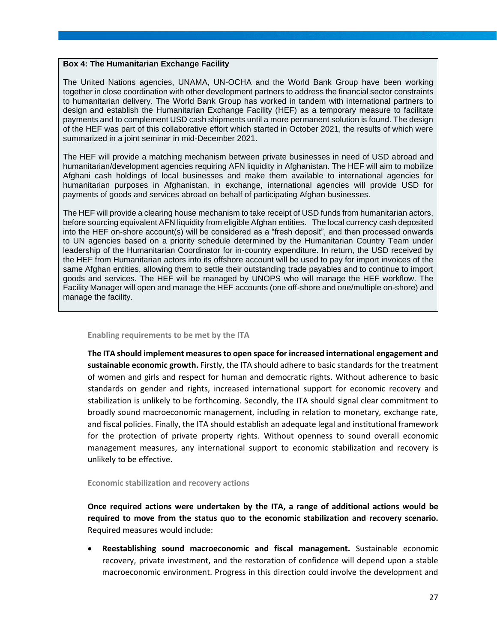#### **Box 4: The Humanitarian Exchange Facility**

The United Nations agencies, UNAMA, UN-OCHA and the World Bank Group have been working together in close coordination with other development partners to address the financial sector constraints to humanitarian delivery. The World Bank Group has worked in tandem with international partners to design and establish the Humanitarian Exchange Facility (HEF) as a temporary measure to facilitate payments and to complement USD cash shipments until a more permanent solution is found. The design of the HEF was part of this collaborative effort which started in October 2021, the results of which were summarized in a joint seminar in mid-December 2021.

The HEF will provide a matching mechanism between private businesses in need of USD abroad and humanitarian/development agencies requiring AFN liquidity in Afghanistan. The HEF will aim to mobilize Afghani cash holdings of local businesses and make them available to international agencies for humanitarian purposes in Afghanistan, in exchange, international agencies will provide USD for payments of goods and services abroad on behalf of participating Afghan businesses.

The HEF will provide a clearing house mechanism to take receipt of USD funds from humanitarian actors, before sourcing equivalent AFN liquidity from eligible Afghan entities. The local currency cash deposited into the HEF on-shore account(s) will be considered as a "fresh deposit", and then processed onwards to UN agencies based on a priority schedule determined by the Humanitarian Country Team under leadership of the Humanitarian Coordinator for in-country expenditure. In return, the USD received by the HEF from Humanitarian actors into its offshore account will be used to pay for import invoices of the same Afghan entities, allowing them to settle their outstanding trade payables and to continue to import goods and services. The HEF will be managed by UNOPS who will manage the HEF workflow. The Facility Manager will open and manage the HEF accounts (one off-shore and one/multiple on-shore) and manage the facility.

#### **Enabling requirements to be met by the ITA**

**The ITA should implement measures to open space for increased international engagement and sustainable economic growth.** Firstly, the ITA should adhere to basic standards for the treatment of women and girls and respect for human and democratic rights. Without adherence to basic standards on gender and rights, increased international support for economic recovery and stabilization is unlikely to be forthcoming. Secondly, the ITA should signal clear commitment to broadly sound macroeconomic management, including in relation to monetary, exchange rate, and fiscal policies. Finally, the ITA should establish an adequate legal and institutional framework for the protection of private property rights. Without openness to sound overall economic management measures, any international support to economic stabilization and recovery is unlikely to be effective.

#### **Economic stabilization and recovery actions**

**Once required actions were undertaken by the ITA, a range of additional actions would be required to move from the status quo to the economic stabilization and recovery scenario.**  Required measures would include:

• **Reestablishing sound macroeconomic and fiscal management.** Sustainable economic recovery, private investment, and the restoration of confidence will depend upon a stable macroeconomic environment. Progress in this direction could involve the development and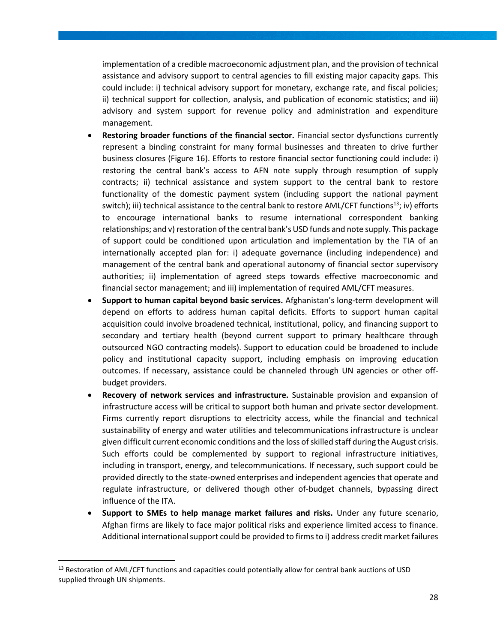implementation of a credible macroeconomic adjustment plan, and the provision of technical assistance and advisory support to central agencies to fill existing major capacity gaps. This could include: i) technical advisory support for monetary, exchange rate, and fiscal policies; ii) technical support for collection, analysis, and publication of economic statistics; and iii) advisory and system support for revenue policy and administration and expenditure management.

- **Restoring broader functions of the financial sector.** Financial sector dysfunctions currently represent a binding constraint for many formal businesses and threaten to drive further business closures [\(Figure 16\)](#page-37-0). Efforts to restore financial sector functioning could include: i) restoring the central bank's access to AFN note supply through resumption of supply contracts; ii) technical assistance and system support to the central bank to restore functionality of the domestic payment system (including support the national payment switch); iii) technical assistance to the central bank to restore AML/CFT functions<sup>13</sup>; iv) efforts to encourage international banks to resume international correspondent banking relationships; and v) restoration of the central bank's USD funds and note supply. This package of support could be conditioned upon articulation and implementation by the TIA of an internationally accepted plan for: i) adequate governance (including independence) and management of the central bank and operational autonomy of financial sector supervisory authorities; ii) implementation of agreed steps towards effective macroeconomic and financial sector management; and iii) implementation of required AML/CFT measures.
- **Support to human capital beyond basic services.** Afghanistan's long-term development will depend on efforts to address human capital deficits. Efforts to support human capital acquisition could involve broadened technical, institutional, policy, and financing support to secondary and tertiary health (beyond current support to primary healthcare through outsourced NGO contracting models). Support to education could be broadened to include policy and institutional capacity support, including emphasis on improving education outcomes. If necessary, assistance could be channeled through UN agencies or other offbudget providers.
- **Recovery of network services and infrastructure.** Sustainable provision and expansion of infrastructure access will be critical to support both human and private sector development. Firms currently report disruptions to electricity access, while the financial and technical sustainability of energy and water utilities and telecommunications infrastructure is unclear given difficult current economic conditions and the loss of skilled staff during the August crisis. Such efforts could be complemented by support to regional infrastructure initiatives, including in transport, energy, and telecommunications. If necessary, such support could be provided directly to the state-owned enterprises and independent agencies that operate and regulate infrastructure, or delivered though other of-budget channels, bypassing direct influence of the ITA.
- **Support to SMEs to help manage market failures and risks.** Under any future scenario, Afghan firms are likely to face major political risks and experience limited access to finance. Additional international support could be provided to firms to i) address credit market failures

<sup>&</sup>lt;sup>13</sup> Restoration of AML/CFT functions and capacities could potentially allow for central bank auctions of USD supplied through UN shipments.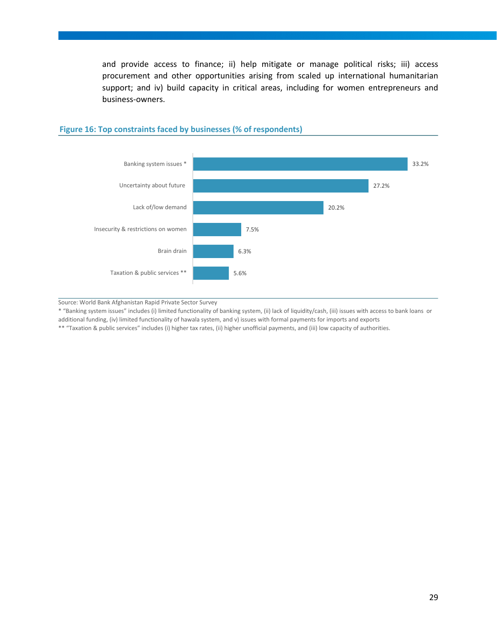and provide access to finance; ii) help mitigate or manage political risks; iii) access procurement and other opportunities arising from scaled up international humanitarian support; and iv) build capacity in critical areas, including for women entrepreneurs and business-owners.



#### <span id="page-37-0"></span>**Figure 16: Top constraints faced by businesses (% of respondents)**

Source: World Bank Afghanistan Rapid Private Sector Survey

\* "Banking system issues" includes (i) limited functionality of banking system, (ii) lack of liquidity/cash, (iii) issues with access to bank loans or

additional funding, (iv) limited functionality of hawala system, and v) issues with formal payments for imports and exports

\*\* "Taxation & public services" includes (i) higher tax rates, (ii) higher unofficial payments, and (iii) low capacity of authorities.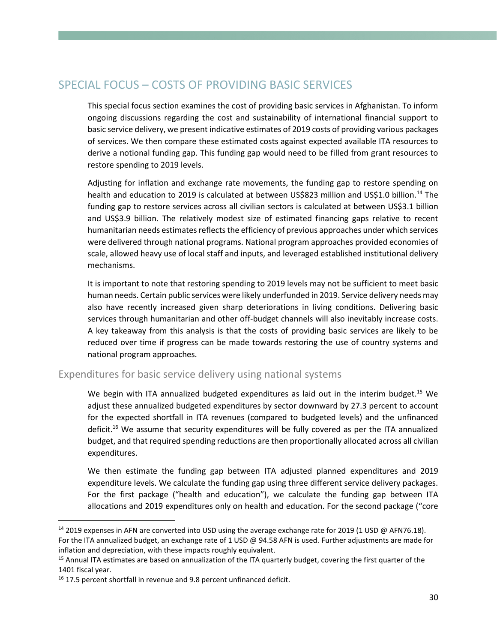## <span id="page-38-0"></span>SPECIAL FOCUS – COSTS OF PROVIDING BASIC SERVICES

This special focus section examines the cost of providing basic services in Afghanistan. To inform ongoing discussions regarding the cost and sustainability of international financial support to basic service delivery, we present indicative estimates of 2019 costs of providing various packages of services. We then compare these estimated costs against expected available ITA resources to derive a notional funding gap. This funding gap would need to be filled from grant resources to restore spending to 2019 levels.

Adjusting for inflation and exchange rate movements, the funding gap to restore spending on health and education to 2019 is calculated at between US\$823 million and US\$1.0 billion.<sup>14</sup> The funding gap to restore services across all civilian sectors is calculated at between US\$3.1 billion and US\$3.9 billion. The relatively modest size of estimated financing gaps relative to recent humanitarian needs estimates reflects the efficiency of previous approaches under which services were delivered through national programs. National program approaches provided economies of scale, allowed heavy use of local staff and inputs, and leveraged established institutional delivery mechanisms.

It is important to note that restoring spending to 2019 levels may not be sufficient to meet basic human needs. Certain public services were likely underfunded in 2019. Service delivery needs may also have recently increased given sharp deteriorations in living conditions. Delivering basic services through humanitarian and other off-budget channels will also inevitably increase costs. A key takeaway from this analysis is that the costs of providing basic services are likely to be reduced over time if progress can be made towards restoring the use of country systems and national program approaches.

#### Expenditures for basic service delivery using national systems

We begin with ITA annualized budgeted expenditures as laid out in the interim budget.<sup>15</sup> We adjust these annualized budgeted expenditures by sector downward by 27.3 percent to account for the expected shortfall in ITA revenues (compared to budgeted levels) and the unfinanced deficit.<sup>16</sup> We assume that security expenditures will be fully covered as per the ITA annualized budget, and that required spending reductions are then proportionally allocated across all civilian expenditures.

We then estimate the funding gap between ITA adjusted planned expenditures and 2019 expenditure levels. We calculate the funding gap using three different service delivery packages. For the first package ("health and education"), we calculate the funding gap between ITA allocations and 2019 expenditures only on health and education. For the second package ("core

<sup>&</sup>lt;sup>14</sup> 2019 expenses in AFN are converted into USD using the average exchange rate for 2019 (1 USD @ AFN76.18). For the ITA annualized budget, an exchange rate of 1 USD @ 94.58 AFN is used. Further adjustments are made for inflation and depreciation, with these impacts roughly equivalent.

<sup>&</sup>lt;sup>15</sup> Annual ITA estimates are based on annualization of the ITA quarterly budget, covering the first quarter of the 1401 fiscal year.

<sup>&</sup>lt;sup>16</sup> 17.5 percent shortfall in revenue and 9.8 percent unfinanced deficit.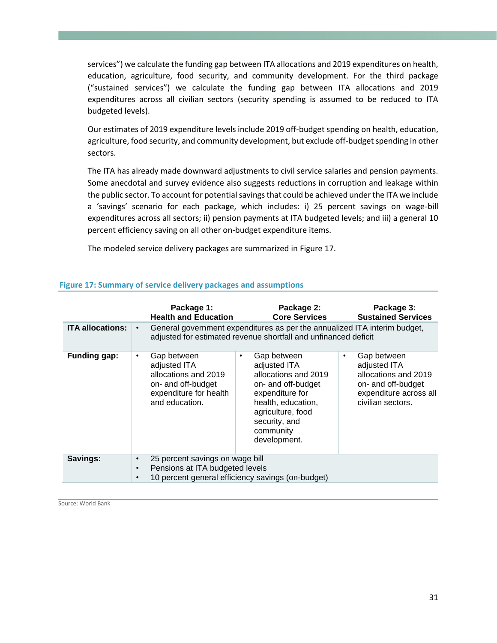services") we calculate the funding gap between ITA allocations and 2019 expenditures on health, education, agriculture, food security, and community development. For the third package ("sustained services") we calculate the funding gap between ITA allocations and 2019 expenditures across all civilian sectors (security spending is assumed to be reduced to ITA budgeted levels).

Our estimates of 2019 expenditure levels include 2019 off-budget spending on health, education, agriculture, food security, and community development, but exclude off-budget spending in other sectors.

The ITA has already made downward adjustments to civil service salaries and pension payments. Some anecdotal and survey evidence also suggests reductions in corruption and leakage within the public sector. To account for potential savings that could be achieved under the ITA we include a 'savings' scenario for each package, which includes: i) 25 percent savings on wage-bill expenditures across all sectors; ii) pension payments at ITA budgeted levels; and iii) a general 10 percent efficiency saving on all other on-budget expenditure items.

The modeled service delivery packages are summarized in [Figure 17.](#page-39-0)

|                         |                        | Package 1:<br><b>Health and Education</b>                                                                                                    |           | Package 2:<br><b>Core Services</b>                                                                                                                                                    |   | Package 3:<br><b>Sustained Services</b>                                                                                  |  |  |
|-------------------------|------------------------|----------------------------------------------------------------------------------------------------------------------------------------------|-----------|---------------------------------------------------------------------------------------------------------------------------------------------------------------------------------------|---|--------------------------------------------------------------------------------------------------------------------------|--|--|
| <b>ITA allocations:</b> |                        | General government expenditures as per the annualized ITA interim budget,<br>adjusted for estimated revenue shortfall and unfinanced deficit |           |                                                                                                                                                                                       |   |                                                                                                                          |  |  |
| <b>Funding gap:</b>     | ٠                      | Gap between<br>adjusted ITA<br>allocations and 2019<br>on- and off-budget<br>expenditure for health<br>and education.                        | $\bullet$ | Gap between<br>adjusted ITA<br>allocations and 2019<br>on- and off-budget<br>expenditure for<br>health, education,<br>agriculture, food<br>security, and<br>community<br>development. | ٠ | Gap between<br>adjusted ITA<br>allocations and 2019<br>on- and off-budget<br>expenditure across all<br>civilian sectors. |  |  |
| Savings:                | $\bullet$<br>$\bullet$ | 25 percent savings on wage bill<br>Pensions at ITA budgeted levels<br>10 percent general efficiency savings (on-budget)                      |           |                                                                                                                                                                                       |   |                                                                                                                          |  |  |

#### <span id="page-39-0"></span>**Figure 17: Summary of service delivery packages and assumptions**

Source: World Bank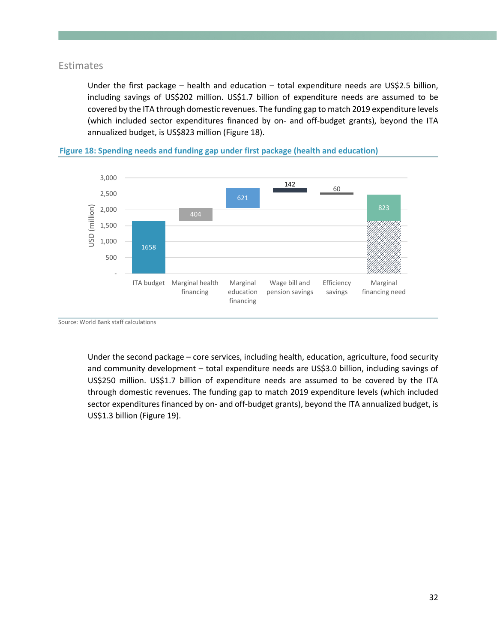#### Estimates

Under the first package – health and education – total expenditure needs are US\$2.5 billion, including savings of US\$202 million. US\$1.7 billion of expenditure needs are assumed to be covered by the ITA through domestic revenues. The funding gap to match 2019 expenditure levels (which included sector expenditures financed by on- and off-budget grants), beyond the ITA annualized budget, is US\$823 million [\(Figure 18\)](#page-40-0).



<span id="page-40-0"></span>**Figure 18: Spending needs and funding gap under first package (health and education)**

Source: World Bank staff calculations

Under the second package – core services, including health, education, agriculture, food security and community development – total expenditure needs are US\$3.0 billion, including savings of US\$250 million. US\$1.7 billion of expenditure needs are assumed to be covered by the ITA through domestic revenues. The funding gap to match 2019 expenditure levels (which included sector expenditures financed by on- and off-budget grants), beyond the ITA annualized budget, is US\$1.3 billion [\(Figure 19\)](#page-41-0).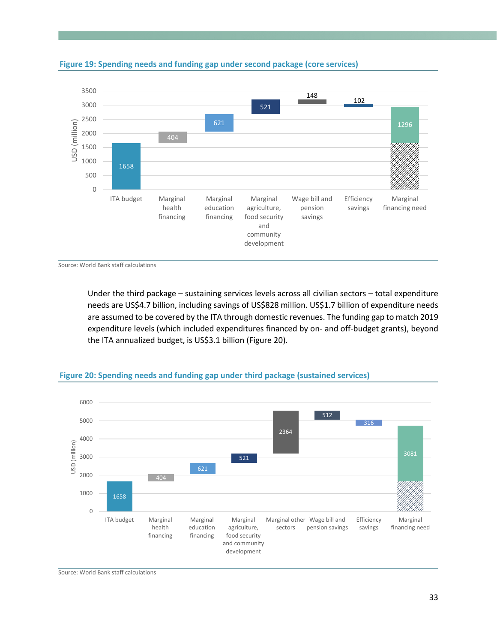

<span id="page-41-0"></span>

Source: World Bank staff calculations

Under the third package – sustaining services levels across all civilian sectors – total expenditure needs are US\$4.7 billion, including savings of US\$828 million. US\$1.7 billion of expenditure needs are assumed to be covered by the ITA through domestic revenues. The funding gap to match 2019 expenditure levels (which included expenditures financed by on- and off-budget grants), beyond the ITA annualized budget, is US\$3.1 billion [\(Figure 20\)](#page-41-1).



#### <span id="page-41-1"></span>**Figure 20: Spending needs and funding gap under third package (sustained services)**

Source: World Bank staff calculations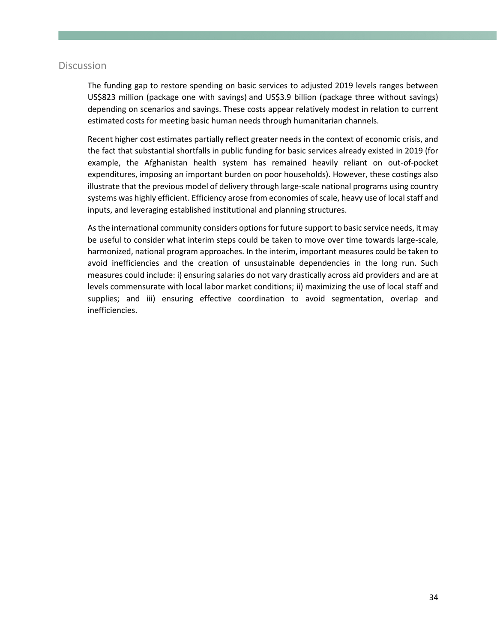#### Discussion

The funding gap to restore spending on basic services to adjusted 2019 levels ranges between US\$823 million (package one with savings) and US\$3.9 billion (package three without savings) depending on scenarios and savings. These costs appear relatively modest in relation to current estimated costs for meeting basic human needs through humanitarian channels.

Recent higher cost estimates partially reflect greater needs in the context of economic crisis, and the fact that substantial shortfalls in public funding for basic services already existed in 2019 (for example, the Afghanistan health system has remained heavily reliant on out-of-pocket expenditures, imposing an important burden on poor households). However, these costings also illustrate that the previous model of delivery through large-scale national programs using country systems was highly efficient. Efficiency arose from economies of scale, heavy use of local staff and inputs, and leveraging established institutional and planning structures.

As the international community considers options for future support to basic service needs, it may be useful to consider what interim steps could be taken to move over time towards large-scale, harmonized, national program approaches. In the interim, important measures could be taken to avoid inefficiencies and the creation of unsustainable dependencies in the long run. Such measures could include: i) ensuring salaries do not vary drastically across aid providers and are at levels commensurate with local labor market conditions; ii) maximizing the use of local staff and supplies; and iii) ensuring effective coordination to avoid segmentation, overlap and inefficiencies.